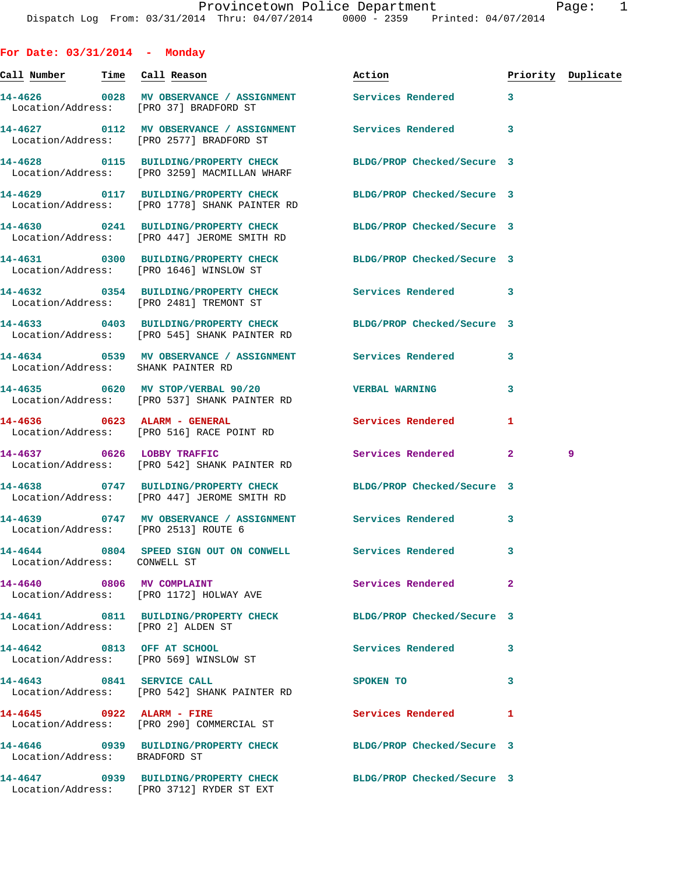**For Date: 03/31/2014 - Monday Call Number Time Call Reason Action Priority Duplicate 14-4626 0028 MV OBSERVANCE / ASSIGNMENT Services Rendered 3**  Location/Address: [PRO 37] BRADFORD ST **14-4627 0112 MV OBSERVANCE / ASSIGNMENT Services Rendered 3**  Location/Address: [PRO 2577] BRADFORD ST **14-4628 0115 BUILDING/PROPERTY CHECK BLDG/PROP Checked/Secure 3**  Location/Address: [PRO 3259] MACMILLAN WHARF **14-4629 0117 BUILDING/PROPERTY CHECK BLDG/PROP Checked/Secure 3**  Location/Address: [PRO 1778] SHANK PAINTER RD **14-4630 0241 BUILDING/PROPERTY CHECK BLDG/PROP Checked/Secure 3**  Location/Address: [PRO 447] JEROME SMITH RD **14-4631 0300 BUILDING/PROPERTY CHECK BLDG/PROP Checked/Secure 3**  Location/Address: [PRO 1646] WINSLOW ST **14-4632 0354 BUILDING/PROPERTY CHECK Services Rendered 3**  Location/Address: [PRO 2481] TREMONT ST **14-4633 0403 BUILDING/PROPERTY CHECK BLDG/PROP Checked/Secure 3**  Location/Address: [PRO 545] SHANK PAINTER RD **14-4634 0539 MV OBSERVANCE / ASSIGNMENT Services Rendered 3**  Location/Address: SHANK PAINTER RD **14-4635 0620 MV STOP/VERBAL 90/20 VERBAL WARNING 3**  Location/Address: [PRO 537] SHANK PAINTER RD **14-4636 0623 ALARM - GENERAL Services Rendered 1**  Location/Address: [PRO 516] RACE POINT RD **14-4637 0626 LOBBY TRAFFIC Services Rendered 2 9**  Location/Address: [PRO 542] SHANK PAINTER RD **14-4638 0747 BUILDING/PROPERTY CHECK BLDG/PROP Checked/Secure 3**  Location/Address: [PRO 447] JEROME SMITH RD **14-4639 0747 MV OBSERVANCE / ASSIGNMENT Services Rendered 3**  Location/Address: [PRO 2513] ROUTE 6 **14-4644 0804 SPEED SIGN OUT ON CONWELL Services Rendered 3**  Location/Address: CONWELL ST **14-4640 0806 MV COMPLAINT Services Rendered 2**  Location/Address: [PRO 1172] HOLWAY AVE **14-4641 0811 BUILDING/PROPERTY CHECK BLDG/PROP Checked/Secure 3**  Location/Address: [PRO 2] ALDEN ST **14-4642 0813 OFF AT SCHOOL Services Rendered 3**  Location/Address: [PRO 569] WINSLOW ST **14-4643 0841 SERVICE CALL SPOKEN TO 3**  Location/Address: [PRO 542] SHANK PAINTER RD **14-4645 0922 ALARM - FIRE Services Rendered 1**  Location/Address: [PRO 290] COMMERCIAL ST **14-4646 0939 BUILDING/PROPERTY CHECK BLDG/PROP Checked/Secure 3**  Location/Address: BRADFORD ST **14-4647 0939 BUILDING/PROPERTY CHECK BLDG/PROP Checked/Secure 3** 

Location/Address: [PRO 3712] RYDER ST EXT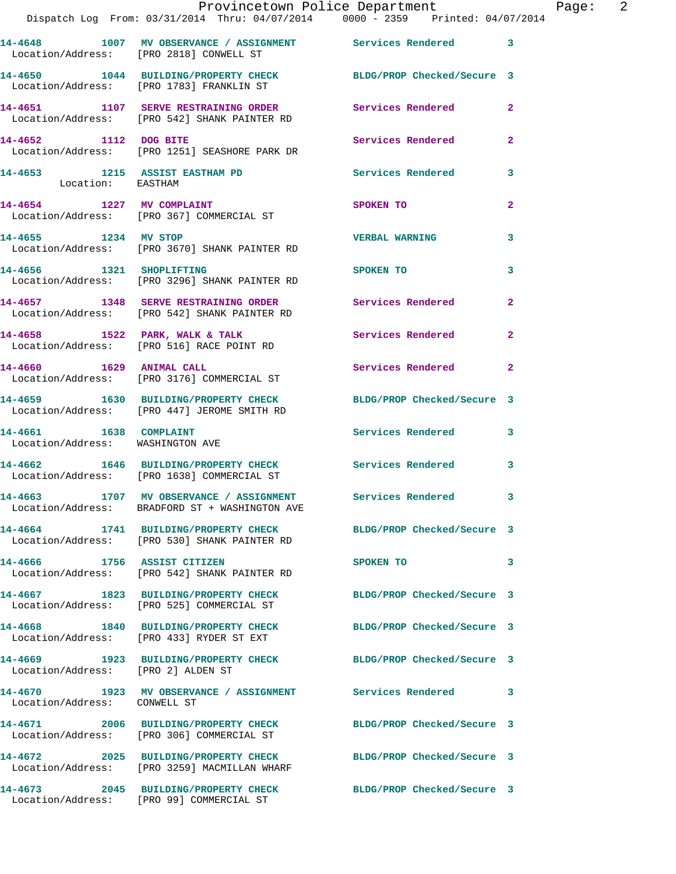|                                                            | Provincetown Police Department<br>Dispatch Log From: 03/31/2014 Thru: 04/07/2014 0000 - 2359 Printed: 04/07/2014 |                            |              |
|------------------------------------------------------------|------------------------------------------------------------------------------------------------------------------|----------------------------|--------------|
|                                                            | 14-4648 1007 MV OBSERVANCE / ASSIGNMENT Services Rendered<br>Location/Address: [PRO 2818] CONWELL ST             |                            | 3            |
|                                                            | 14-4650 1044 BUILDING/PROPERTY CHECK BLDG/PROP Checked/Secure 3<br>Location/Address: [PRO 1783] FRANKLIN ST      |                            |              |
|                                                            | 14-4651 1107 SERVE RESTRAINING ORDER<br>Location/Address: [PRO 542] SHANK PAINTER RD                             | Services Rendered          | $\mathbf{2}$ |
| 14-4652 1112 DOG BITE                                      | Location/Address: [PRO 1251] SEASHORE PARK DR                                                                    | <b>Services Rendered</b>   | $\mathbf{2}$ |
| 14-4653 1215 ASSIST EASTHAM PD<br>Location: EASTHAM        |                                                                                                                  | <b>Services Rendered</b>   | 3            |
|                                                            | 14-4654 1227 MV COMPLAINT<br>Location/Address: [PRO 367] COMMERCIAL ST                                           | SPOKEN TO                  | 2            |
| 14-4655 1234 MV STOP                                       | Location/Address: [PRO 3670] SHANK PAINTER RD                                                                    | <b>VERBAL WARNING</b>      | 3            |
| 14-4656 1321 SHOPLIFTING                                   | Location/Address: [PRO 3296] SHANK PAINTER RD                                                                    | SPOKEN TO                  | 3            |
|                                                            | 14-4657 1348 SERVE RESTRAINING ORDER<br>Location/Address: [PRO 542] SHANK PAINTER RD                             | Services Rendered          | $\mathbf{2}$ |
|                                                            | $14-4658$ 1522 PARK, WALK & TALK<br>Location/Address: [PRO 516] RACE POINT RD                                    | Services Rendered          | $\mathbf{2}$ |
| 14-4660 1629 ANIMAL CALL                                   | Location/Address: [PRO 3176] COMMERCIAL ST                                                                       | Services Rendered          | $\mathbf{2}$ |
|                                                            | 14-4659 1630 BUILDING/PROPERTY CHECK<br>Location/Address: [PRO 447] JEROME SMITH RD                              | BLDG/PROP Checked/Secure 3 |              |
| 14-4661 1638 COMPLAINT<br>Location/Address: WASHINGTON AVE |                                                                                                                  | Services Rendered          | 3            |
|                                                            | 14-4662 1646 BUILDING/PROPERTY CHECK Services Rendered<br>Location/Address: [PRO 1638] COMMERCIAL ST             |                            | 3            |
|                                                            | 14-4663 1707 MV OBSERVANCE / ASSIGNMENT<br>Location/Address: BRADFORD ST + WASHINGTON AVE                        | Services Rendered          |              |
|                                                            | 14-4664 1741 BUILDING/PROPERTY CHECK BLDG/PROP Checked/Secure 3<br>Location/Address: [PRO 530] SHANK PAINTER RD  |                            |              |
| 14-4666 1756 ASSIST CITIZEN                                | Location/Address: [PRO 542] SHANK PAINTER RD                                                                     | SPOKEN TO                  | 3            |
|                                                            | 14-4667 1823 BUILDING/PROPERTY CHECK<br>Location/Address: [PRO 525] COMMERCIAL ST                                | BLDG/PROP Checked/Secure 3 |              |
|                                                            | 14-4668 1840 BUILDING/PROPERTY CHECK<br>Location/Address: [PRO 433] RYDER ST EXT                                 | BLDG/PROP Checked/Secure 3 |              |
| Location/Address: [PRO 2] ALDEN ST                         | 14-4669 1923 BUILDING/PROPERTY CHECK                                                                             | BLDG/PROP Checked/Secure 3 |              |
| Location/Address: CONWELL ST                               | 14-4670 1923 MV OBSERVANCE / ASSIGNMENT Services Rendered                                                        |                            | 3            |
|                                                            | 14-4671 2006 BUILDING/PROPERTY CHECK<br>Location/Address: [PRO 306] COMMERCIAL ST                                | BLDG/PROP Checked/Secure 3 |              |
|                                                            | 14-4672 2025 BUILDING/PROPERTY CHECK<br>Location/Address: [PRO 3259] MACMILLAN WHARF                             | BLDG/PROP Checked/Secure 3 |              |
| 14-4673                                                    | 2045 BUILDING/PROPERTY CHECK BLDG/PROP Checked/Secure 3                                                          |                            |              |

Location/Address: [PRO 99] COMMERCIAL ST

Page:  $2$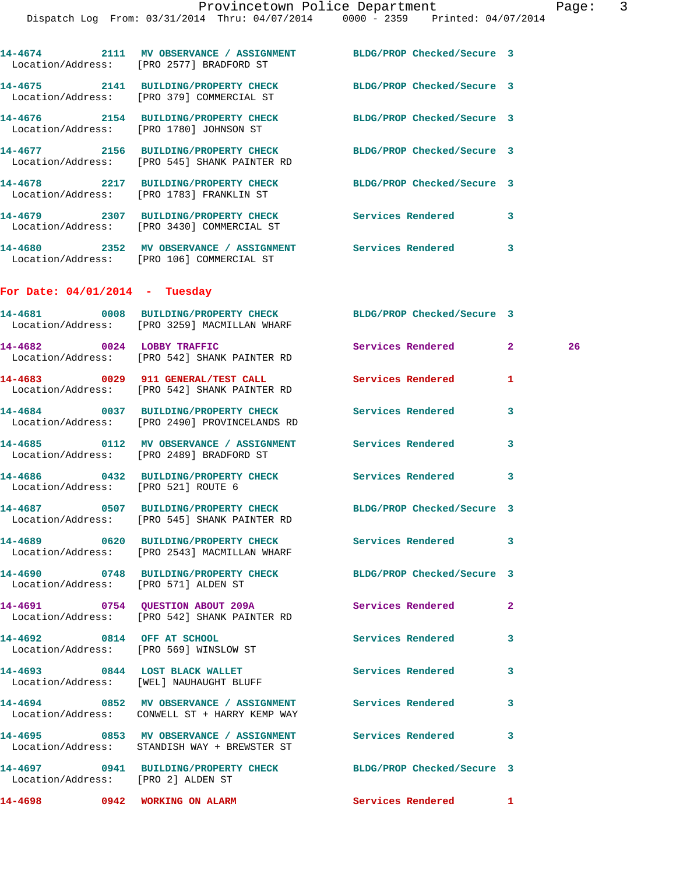|                                      | Dispatch Log From: 03/31/2014 Thru: 04/07/2014 0000 - 2359 Printed: 04/07/2014                                        |                            |   |    |
|--------------------------------------|-----------------------------------------------------------------------------------------------------------------------|----------------------------|---|----|
|                                      | 14-4674 2111 MV OBSERVANCE / ASSIGNMENT BLDG/PROP Checked/Secure 3<br>Location/Address: [PRO 2577] BRADFORD ST        |                            |   |    |
|                                      | 14-4675 2141 BUILDING/PROPERTY CHECK<br>Location/Address: [PRO 379] COMMERCIAL ST                                     | BLDG/PROP Checked/Secure 3 |   |    |
|                                      | 14-4676 2154 BUILDING/PROPERTY CHECK<br>Location/Address: [PRO 1780] JOHNSON ST                                       | BLDG/PROP Checked/Secure 3 |   |    |
|                                      | 14-4677 2156 BUILDING/PROPERTY CHECK BLDG/PROP Checked/Secure 3<br>Location/Address: [PRO 545] SHANK PAINTER RD       |                            |   |    |
|                                      | 14-4678 2217 BUILDING/PROPERTY CHECK BLDG/PROP Checked/Secure 3<br>Location/Address: [PRO 1783] FRANKLIN ST           |                            |   |    |
|                                      | 14-4679 2307 BUILDING/PROPERTY CHECK<br>Location/Address: [PRO 3430] COMMERCIAL ST                                    | Services Rendered          | 3 |    |
|                                      | 14-4680 2352 MV OBSERVANCE / ASSIGNMENT Services Rendered 3<br>Location/Address: [PRO 106] COMMERCIAL ST              |                            |   |    |
| For Date: $04/01/2014$ - Tuesday     |                                                                                                                       |                            |   |    |
|                                      | 14-4681 0008 BUILDING/PROPERTY CHECK BLDG/PROP Checked/Secure 3<br>Location/Address: [PRO 3259] MACMILLAN WHARF       |                            |   |    |
|                                      | 14-4682 0024 LOBBY TRAFFIC<br>Location/Address: [PRO 542] SHANK PAINTER RD                                            | Services Rendered 2        |   | 26 |
|                                      | 14-4683 0029 911 GENERAL/TEST CALL<br>Location/Address: [PRO 542] SHANK PAINTER RD                                    | Services Rendered          | 1 |    |
|                                      | 14-4684 0037 BUILDING/PROPERTY CHECK<br>Location/Address: [PRO 2490] PROVINCELANDS RD                                 | <b>Services Rendered</b>   | 3 |    |
|                                      | 14-4685   0112 MV OBSERVANCE / ASSIGNMENT   Services Rendered<br>Location/Address: [PRO 2489] BRADFORD ST             |                            | 3 |    |
| Location/Address: [PRO 521] ROUTE 6  | 14-4686 0432 BUILDING/PROPERTY CHECK Services Rendered 3                                                              |                            |   |    |
|                                      | 14-4687 		 0507 BUILDING/PROPERTY CHECK 			BLDG/PROP Checked/Secure 3<br>Location/Address: [PRO 545] SHANK PAINTER RD |                            |   |    |
|                                      | 14-4689 0620 BUILDING/PROPERTY CHECK Services Rendered<br>Location/Address: [PRO 2543] MACMILLAN WHARF                |                            | 3 |    |
| Location/Address: [PRO 571] ALDEN ST | 14-4690 0748 BUILDING/PROPERTY CHECK BLDG/PROP Checked/Secure 3                                                       |                            |   |    |
|                                      | 14-4691 0754 QUESTION ABOUT 209A Services Rendered<br>Location/Address: [PRO 542] SHANK PAINTER RD                    |                            | 2 |    |
| 14-4692 0814 OFF AT SCHOOL           | Location/Address: [PRO 569] WINSLOW ST                                                                                | Services Rendered          | 3 |    |
|                                      | 14-4693 0844 LOST BLACK WALLET<br>Location/Address: [WEL] NAUHAUGHT BLUFF                                             | <b>Services Rendered</b>   | 3 |    |
|                                      | 14-4694 0852 MV OBSERVANCE / ASSIGNMENT Services Rendered<br>Location/Address: CONWELL ST + HARRY KEMP WAY            |                            | 3 |    |
|                                      | 14-4695 6853 MV OBSERVANCE / ASSIGNMENT Services Rendered<br>Location/Address: STANDISH WAY + BREWSTER ST             |                            | 3 |    |
| Location/Address: [PRO 2] ALDEN ST   | 14-4697 0941 BUILDING/PROPERTY CHECK BLDG/PROP Checked/Secure 3                                                       |                            |   |    |

**14-4698 0942 WORKING ON ALARM Services Rendered 1**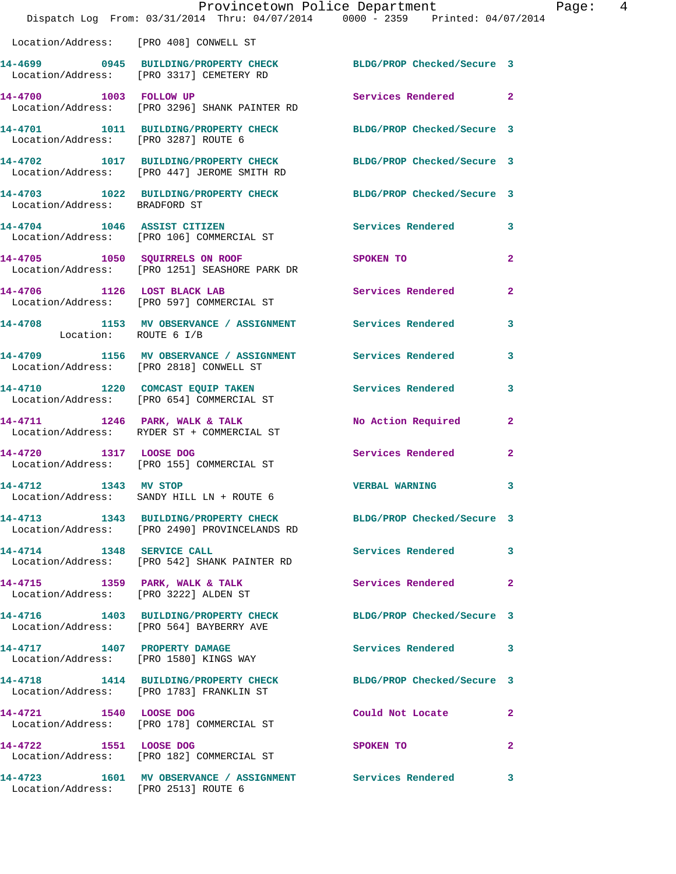|                                        | Dispatch Log From: 03/31/2014 Thru: 04/07/2014 0000 - 2359 Printed: 04/07/2014                                   | Provincetown Police Department | Page: 4        |
|----------------------------------------|------------------------------------------------------------------------------------------------------------------|--------------------------------|----------------|
| Location/Address: [PRO 408] CONWELL ST |                                                                                                                  |                                |                |
|                                        | 14-4699 0945 BUILDING/PROPERTY CHECK BLDG/PROP Checked/Secure 3<br>Location/Address: [PRO 3317] CEMETERY RD      |                                |                |
|                                        | 14-4700 1003 FOLLOW UP<br>Location/Address: [PRO 3296] SHANK PAINTER RD                                          | Services Rendered 2            |                |
| Location/Address: [PRO 3287] ROUTE 6   | 14-4701 1011 BUILDING/PROPERTY CHECK BLDG/PROP Checked/Secure 3                                                  |                                |                |
|                                        | 14-4702 1017 BUILDING/PROPERTY CHECK BLDG/PROP Checked/Secure 3<br>Location/Address: [PRO 447] JEROME SMITH RD   |                                |                |
|                                        | 14-4703 1022 BUILDING/PROPERTY CHECK BLDG/PROP Checked/Secure 3<br>Location/Address: BRADFORD ST                 |                                |                |
|                                        | 14-4704 1046 ASSIST CITIZEN<br>Location/Address: [PRO 106] COMMERCIAL ST                                         | Services Rendered 3            |                |
|                                        | 14-4705 1050 SQUIRRELS ON ROOF<br>Location/Address: [PRO 1251] SEASHORE PARK DR                                  | <b>SPOKEN TO</b>               | $\overline{2}$ |
|                                        | 14-4706 1126 LOST BLACK LAB<br>Location/Address: [PRO 597] COMMERCIAL ST                                         | <b>Services Rendered</b>       | $\overline{2}$ |
| Location: ROUTE 6 I/B                  | 14-4708 1153 MV OBSERVANCE / ASSIGNMENT Services Rendered                                                        |                                | 3              |
|                                        | 14-4709 1156 MV OBSERVANCE / ASSIGNMENT Services Rendered 3<br>Location/Address: [PRO 2818] CONWELL ST           |                                |                |
|                                        | 14-4710 1220 COMCAST EQUIP TAKEN Services Rendered<br>Location/Address: [PRO 654] COMMERCIAL ST                  |                                | 3              |
|                                        | 14-4711 1246 PARK, WALK & TALK<br>Location/Address: RYDER ST + COMMERCIAL ST                                     | No Action Required             | $\mathbf{2}$   |
|                                        | 14-4720 1317 LOOSE DOG<br>Location/Address: [PRO 155] COMMERCIAL ST                                              | Services Rendered              | $\mathbf{2}$   |
| 14-4712 1343 MV STOP                   | Location/Address: SANDY HILL LN + ROUTE 6                                                                        | <b>VERBAL WARNING</b>          | $\mathbf{3}$   |
|                                        | 14-4713 1343 BUILDING/PROPERTY CHECK BLDG/PROP Checked/Secure 3<br>Location/Address: [PRO 2490] PROVINCELANDS RD |                                |                |
| 14-4714 1348 SERVICE CALL              | Location/Address: [PRO 542] SHANK PAINTER RD                                                                     | Services Rendered 3            |                |
|                                        | 14-4715 1359 PARK, WALK & TALK<br>Location/Address: [PRO 3222] ALDEN ST                                          | Services Rendered              | $\mathbf{2}$   |
|                                        | 14-4716 1403 BUILDING/PROPERTY CHECK<br>Location/Address: [PRO 564] BAYBERRY AVE                                 | BLDG/PROP Checked/Secure 3     |                |
|                                        | 14-4717 1407 PROPERTY DAMAGE<br>Location/Address: [PRO 1580] KINGS WAY                                           | Services Rendered 3            |                |
|                                        | 14-4718 1414 BUILDING/PROPERTY CHECK BLDG/PROP Checked/Secure 3<br>Location/Address: [PRO 1783] FRANKLIN ST      |                                |                |
|                                        | 14-4721 1540 LOOSE DOG<br>Location/Address: [PRO 178] COMMERCIAL ST                                              | Could Not Locate 2             |                |
| 14-4722 1551 LOOSE DOG                 | Location/Address: [PRO 182] COMMERCIAL ST                                                                        | SPOKEN TO                      | $\mathbf{2}$   |
| Location/Address: [PRO 2513] ROUTE 6   | 14-4723 1601 MV OBSERVANCE / ASSIGNMENT Services Rendered 3                                                      |                                |                |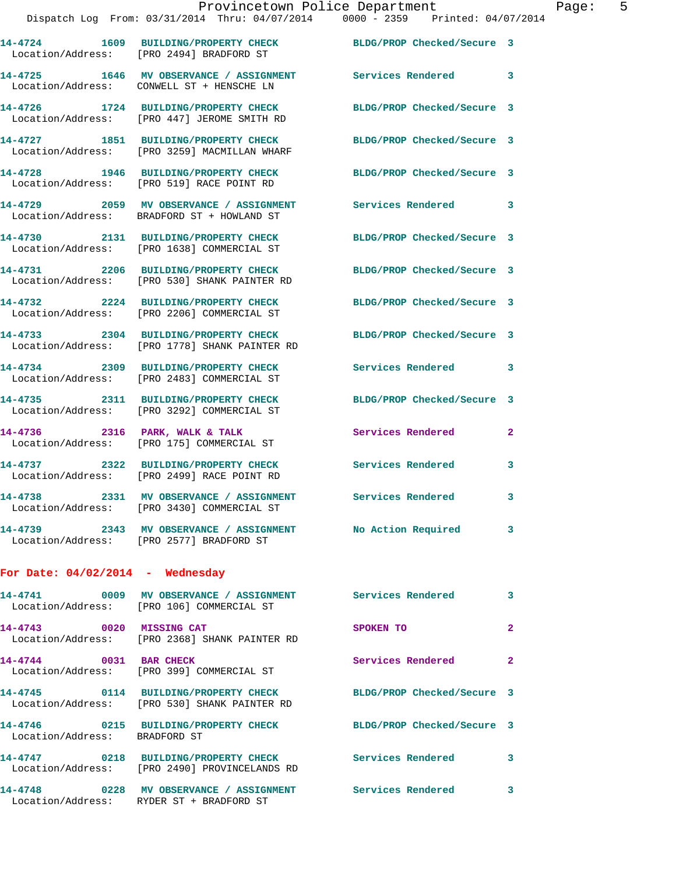|                                    | Dispatch Log From: 03/31/2014 Thru: 04/07/2014 0000 - 2359 Printed: 04/07/2014                              |                            |              |
|------------------------------------|-------------------------------------------------------------------------------------------------------------|----------------------------|--------------|
|                                    | 14-4724 1609 BUILDING/PROPERTY CHECK BLDG/PROP Checked/Secure 3<br>Location/Address: [PRO 2494] BRADFORD ST |                            |              |
|                                    | 14-4725 1646 MV OBSERVANCE / ASSIGNMENT<br>Location/Address: CONWELL ST + HENSCHE LN                        | <b>Services Rendered</b>   | 3            |
|                                    | 14-4726 1724 BUILDING/PROPERTY CHECK<br>Location/Address: [PRO 447] JEROME SMITH RD                         | BLDG/PROP Checked/Secure 3 |              |
|                                    | 14-4727 1851 BUILDING/PROPERTY CHECK<br>Location/Address: [PRO 3259] MACMILLAN WHARF                        | BLDG/PROP Checked/Secure 3 |              |
|                                    | 14-4728 1946 BUILDING/PROPERTY CHECK<br>Location/Address: [PRO 519] RACE POINT RD                           | BLDG/PROP Checked/Secure 3 |              |
|                                    | 14-4729 2059 MV OBSERVANCE / ASSIGNMENT<br>Location/Address: BRADFORD ST + HOWLAND ST                       | Services Rendered          | 3            |
|                                    | 14-4730 2131 BUILDING/PROPERTY CHECK<br>Location/Address: [PRO 1638] COMMERCIAL ST                          | BLDG/PROP Checked/Secure 3 |              |
|                                    | 14-4731 2206 BUILDING/PROPERTY CHECK<br>Location/Address: [PRO 530] SHANK PAINTER RD                        | BLDG/PROP Checked/Secure 3 |              |
|                                    | 14-4732 2224 BUILDING/PROPERTY CHECK<br>Location/Address: [PRO 2206] COMMERCIAL ST                          | BLDG/PROP Checked/Secure 3 |              |
|                                    | 14-4733 2304 BUILDING/PROPERTY CHECK<br>Location/Address: [PRO 1778] SHANK PAINTER RD                       | BLDG/PROP Checked/Secure 3 |              |
|                                    | 14-4734 2309 BUILDING/PROPERTY CHECK<br>Location/Address: [PRO 2483] COMMERCIAL ST                          | Services Rendered          | 3            |
|                                    | 14-4735 2311 BUILDING/PROPERTY CHECK<br>Location/Address: [PRO 3292] COMMERCIAL ST                          | BLDG/PROP Checked/Secure 3 |              |
|                                    | 14-4736 2316 PARK, WALK & TALK<br>Location/Address: [PRO 175] COMMERCIAL ST                                 | Services Rendered          | $\mathbf{2}$ |
|                                    | 14-4737 2322 BUILDING/PROPERTY CHECK<br>Location/Address: [PRO 2499] RACE POINT RD                          | Services Rendered          | 3            |
| 14-4738                            | 2331 MV OBSERVANCE / ASSIGNMENT Services Rendered<br>Location/Address: [PRO 3430] COMMERCIAL ST             |                            | 3            |
|                                    | 14-4739 2343 MV OBSERVANCE / ASSIGNMENT No Action Required<br>Location/Address: [PRO 2577] BRADFORD ST      |                            | 3            |
| For Date: $04/02/2014$ - Wednesday |                                                                                                             |                            |              |
|                                    | 14-4741 0009 MV OBSERVANCE / ASSIGNMENT Services Rendered<br>Location/Address: [PRO 106] COMMERCIAL ST      |                            | 3            |
| 14-4743 0020 MISSING CAT           | Location/Address: [PRO 2368] SHANK PAINTER RD                                                               | SPOKEN TO                  | $\mathbf{2}$ |
| 14-4744 0031 BAR CHECK             | Location/Address: [PRO 399] COMMERCIAL ST                                                                   | Services Rendered          | 2            |
|                                    | 14-4745 0114 BUILDING/PROPERTY CHECK<br>Location/Address: [PRO 530] SHANK PAINTER RD                        | BLDG/PROP Checked/Secure 3 |              |
| Location/Address: BRADFORD ST      | 14-4746 0215 BUILDING/PROPERTY CHECK                                                                        | BLDG/PROP Checked/Secure 3 |              |
|                                    | 14-4747 0218 BUILDING/PROPERTY CHECK Services Rendered<br>Location/Address: [PRO 2490] PROVINCELANDS RD     |                            | 3            |

**14-4748 0228 MV OBSERVANCE / ASSIGNMENT Services Rendered 3** 

Location/Address: RYDER ST + BRADFORD ST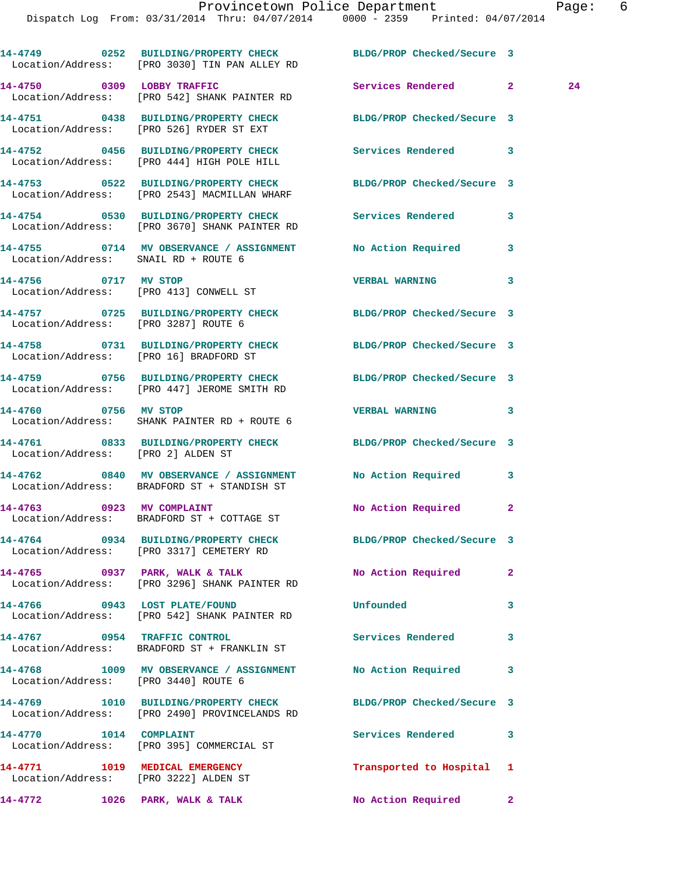|                                       | 14-4749 0252 BUILDING/PROPERTY CHECK BLDG/PROP Checked/Secure 3<br>Location/Address: [PRO 3030] TIN PAN ALLEY RD |                            |              |
|---------------------------------------|------------------------------------------------------------------------------------------------------------------|----------------------------|--------------|
|                                       | 14-4750 0309 LOBBY TRAFFIC<br>Location/Address: [PRO 542] SHANK PAINTER RD                                       | Services Rendered 2        | 24           |
|                                       | 14-4751 0438 BUILDING/PROPERTY CHECK BLDG/PROP Checked/Secure 3<br>Location/Address: [PRO 526] RYDER ST EXT      |                            |              |
|                                       | 14-4752 0456 BUILDING/PROPERTY CHECK Services Rendered 3<br>Location/Address: [PRO 444] HIGH POLE HILL           |                            |              |
|                                       | 14-4753 0522 BUILDING/PROPERTY CHECK BLDG/PROP Checked/Secure 3<br>Location/Address: [PRO 2543] MACMILLAN WHARF  |                            |              |
|                                       | 14-4754 0530 BUILDING/PROPERTY CHECK Services Rendered 3<br>Location/Address: [PRO 3670] SHANK PAINTER RD        |                            |              |
| Location/Address: SNAIL RD + ROUTE 6  | 14-4755 0714 MV OBSERVANCE / ASSIGNMENT No Action Required 3                                                     |                            |              |
|                                       | 14-4756 0717 MV STOP<br>Location/Address: [PRO 413] CONWELL ST                                                   | <b>VERBAL WARNING</b>      | 3            |
| Location/Address: [PRO 3287] ROUTE 6  | 14-4757 0725 BUILDING/PROPERTY CHECK BLDG/PROP Checked/Secure 3                                                  |                            |              |
|                                       | 14-4758 0731 BUILDING/PROPERTY CHECK BLDG/PROP Checked/Secure 3<br>Location/Address: [PRO 16] BRADFORD ST        |                            |              |
|                                       | 14-4759 0756 BUILDING/PROPERTY CHECK BLDG/PROP Checked/Secure 3<br>Location/Address: [PRO 447] JEROME SMITH RD   |                            |              |
| 14-4760 0756 MV STOP                  | Location/Address: SHANK PAINTER RD + ROUTE 6                                                                     | VERBAL WARNING 3           |              |
| Location/Address: [PRO 2] ALDEN ST    | 14-4761 0833 BUILDING/PROPERTY CHECK BLDG/PROP Checked/Secure 3                                                  |                            |              |
|                                       | 14-4762 0840 MV OBSERVANCE / ASSIGNMENT No Action Required 3<br>Location/Address: BRADFORD ST + STANDISH ST      |                            |              |
|                                       | 14-4763 0923 MV COMPLAINT<br>Location/Address: BRADFORD ST + COTTAGE ST                                          | No Action Required         | $\mathbf{2}$ |
|                                       | 14-4764 0934 BUILDING/PROPERTY CHECK<br>Location/Address: [PRO 3317] CEMETERY RD                                 | BLDG/PROP Checked/Secure 3 |              |
|                                       | 14-4765 0937 PARK, WALK & TALK<br>Location/Address: [PRO 3296] SHANK PAINTER RD                                  | No Action Required         | $\mathbf{2}$ |
|                                       | 14-4766 0943 LOST PLATE/FOUND<br>Location/Address: [PRO 542] SHANK PAINTER RD                                    | Unfounded                  | 3            |
|                                       | 14-4767 0954 TRAFFIC CONTROL<br>Location/Address: BRADFORD ST + FRANKLIN ST                                      | Services Rendered          | 3            |
| Location/Address: [PRO 3440] ROUTE 6  | 14-4768 1009 MV OBSERVANCE / ASSIGNMENT No Action Required                                                       |                            | 3            |
|                                       | 14-4769 1010 BUILDING/PROPERTY CHECK<br>Location/Address: [PRO 2490] PROVINCELANDS RD                            | BLDG/PROP Checked/Secure 3 |              |
| 14-4770    1014    COMPLAINT          | Location/Address: [PRO 395] COMMERCIAL ST                                                                        | Services Rendered          | 3            |
| Location/Address: [PRO 3222] ALDEN ST | 14-4771 1019 MEDICAL EMERGENCY                                                                                   | Transported to Hospital 1  |              |
| 14-4772                               | 1026 PARK, WALK & TALK                                                                                           | No Action Required         | $\mathbf{2}$ |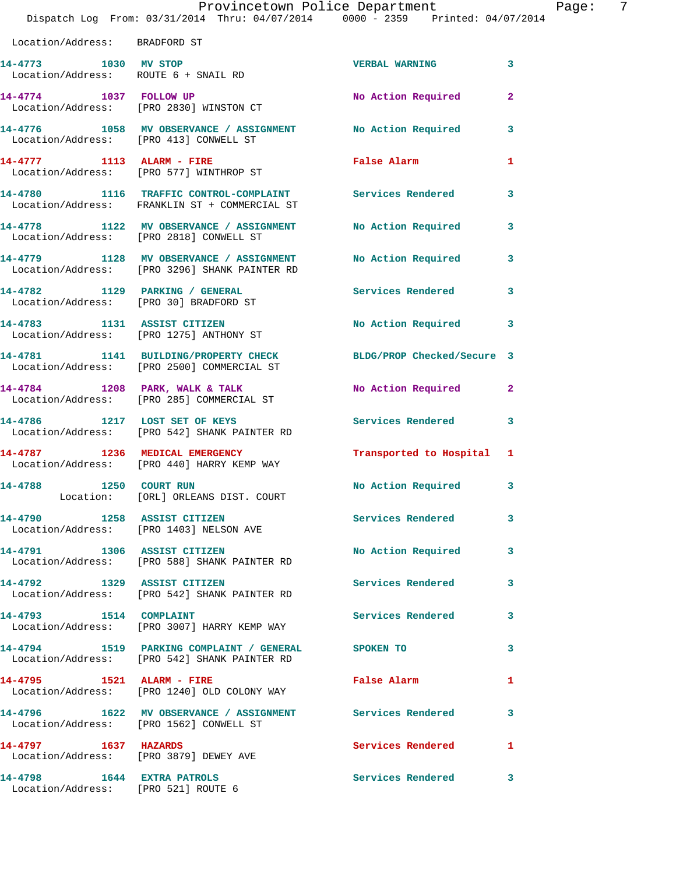|                                                                   | Dispatch Log From: 03/31/2014 Thru: 04/07/2014 0000 - 2359 Printed: 04/07/2014                                | Provincetown Police Department | 7<br>Page:   |
|-------------------------------------------------------------------|---------------------------------------------------------------------------------------------------------------|--------------------------------|--------------|
| Location/Address: BRADFORD ST                                     |                                                                                                               |                                |              |
| 14-4773 1030 MV STOP                                              | Location/Address: ROUTE 6 + SNAIL RD                                                                          | <b>VERBAL WARNING</b>          | 3            |
|                                                                   | 14-4774 1037 FOLLOW UP<br>Location/Address: [PRO 2830] WINSTON CT                                             | No Action Required             | $\mathbf{2}$ |
| Location/Address: [PRO 413] CONWELL ST                            | 14-4776 1058 MV OBSERVANCE / ASSIGNMENT No Action Required                                                    |                                | $\mathbf{3}$ |
|                                                                   | 14-4777 1113 ALARM - FIRE<br>Location/Address: [PRO 577] WINTHROP ST                                          | False Alarm                    | 1            |
|                                                                   | 14-4780 1116 TRAFFIC CONTROL-COMPLAINT<br>Location/Address: FRANKLIN ST + COMMERCIAL ST                       | Services Rendered              | 3            |
|                                                                   | 14-4778   1122 MV OBSERVANCE / ASSIGNMENT   No Action Required<br>Location/Address: [PRO 2818] CONWELL ST     |                                | $\mathbf{3}$ |
|                                                                   | 14-4779 1128 MV OBSERVANCE / ASSIGNMENT<br>Location/Address: [PRO 3296] SHANK PAINTER RD                      | No Action Required             | 3            |
|                                                                   | 14-4782 1129 PARKING / GENERAL<br>Location/Address: [PRO 30] BRADFORD ST                                      | Services Rendered              | $\mathbf{3}$ |
|                                                                   | 14-4783 1131 ASSIST CITIZEN<br>Location/Address: [PRO 1275] ANTHONY ST                                        | No Action Required             | 3            |
|                                                                   | 14-4781 1141 BUILDING/PROPERTY CHECK BLDG/PROP Checked/Secure 3<br>Location/Address: [PRO 2500] COMMERCIAL ST |                                |              |
|                                                                   | 14-4784 1208 PARK, WALK & TALK<br>Location/Address: [PRO 285] COMMERCIAL ST                                   | No Action Required             | $\mathbf{2}$ |
| 14-4786 1217 LOST SET OF KEYS                                     | Location/Address: [PRO 542] SHANK PAINTER RD                                                                  | Services Rendered 3            |              |
|                                                                   | 14-4787 1236 MEDICAL EMERGENCY<br>Location/Address: [PRO 440] HARRY KEMP WAY                                  | Transported to Hospital 1      |              |
|                                                                   | Location: [ORL] ORLEANS DIST. COURT                                                                           | No Action Required             | $\mathbf{3}$ |
|                                                                   | 14-4790 1258 ASSIST CITIZEN<br>Location/Address: [PRO 1403] NELSON AVE                                        | <b>Services Rendered</b>       | 3            |
|                                                                   | 14-4791 1306 ASSIST CITIZEN<br>Location/Address: [PRO 588] SHANK PAINTER RD                                   | No Action Required             | 3            |
|                                                                   | 14-4792 1329 ASSIST CITIZEN<br>Location/Address: [PRO 542] SHANK PAINTER RD                                   | <b>Services Rendered</b>       | 3            |
| 14-4793 1514 COMPLAINT                                            | Location/Address: [PRO 3007] HARRY KEMP WAY                                                                   | <b>Services Rendered</b>       | 3            |
|                                                                   | 14-4794 1519 PARKING COMPLAINT / GENERAL SPOKEN TO<br>Location/Address: [PRO 542] SHANK PAINTER RD            |                                | 3            |
|                                                                   | 14-4795 1521 ALARM - FIRE<br>Location/Address: [PRO 1240] OLD COLONY WAY                                      | False Alarm                    | 1            |
|                                                                   | 14-4796 1622 MV OBSERVANCE / ASSIGNMENT Services Rendered<br>Location/Address: [PRO 1562] CONWELL ST          |                                | 3            |
| 14-4797 1637 HAZARDS                                              | Location/Address: [PRO 3879] DEWEY AVE                                                                        | Services Rendered              | 1            |
| 14-4798 1644 EXTRA PATROLS<br>Location/Address: [PRO 521] ROUTE 6 |                                                                                                               | Services Rendered              | 3            |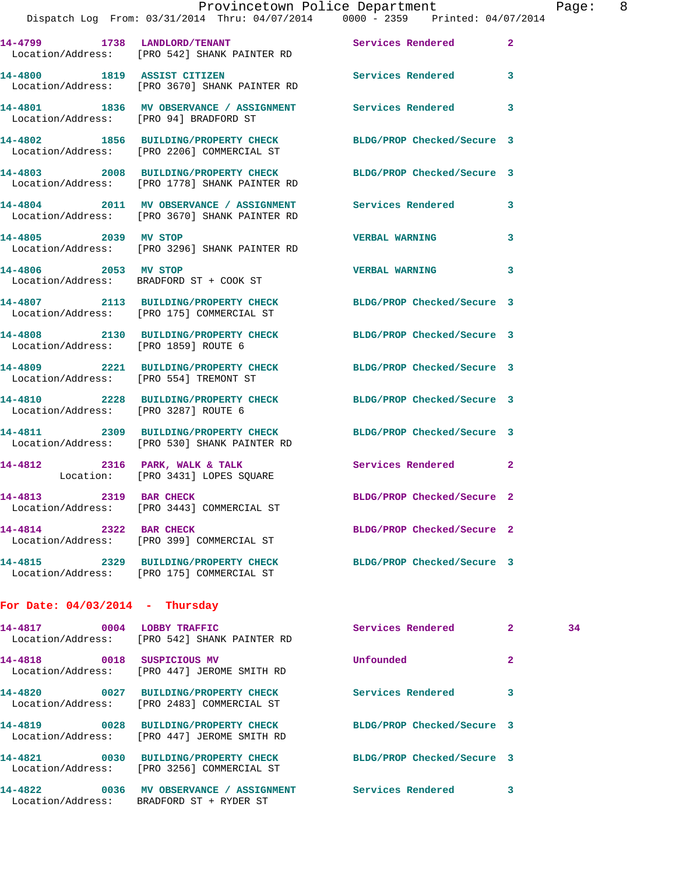|                                        | Provincetown Police Department                                                                                  |                            |                |
|----------------------------------------|-----------------------------------------------------------------------------------------------------------------|----------------------------|----------------|
|                                        | Dispatch Log From: 03/31/2014 Thru: 04/07/2014 0000 - 2359 Printed: 04/07/2014                                  |                            |                |
|                                        | 14-4799 1738 LANDLORD/TENANT Services Rendered<br>Location/Address: [PRO 542] SHANK PAINTER RD                  |                            | $\overline{2}$ |
| 14-4800 1819 ASSIST CITIZEN            | Location/Address: [PRO 3670] SHANK PAINTER RD                                                                   | Services Rendered          | 3              |
| Location/Address: [PRO 94] BRADFORD ST | 14-4801 1836 MV OBSERVANCE / ASSIGNMENT Services Rendered                                                       |                            | 3              |
|                                        | 14-4802 1856 BUILDING/PROPERTY CHECK<br>Location/Address: [PRO 2206] COMMERCIAL ST                              | BLDG/PROP Checked/Secure 3 |                |
|                                        | 14-4803 2008 BUILDING/PROPERTY CHECK<br>Location/Address: [PRO 1778] SHANK PAINTER RD                           | BLDG/PROP Checked/Secure 3 |                |
|                                        | 14-4804 2011 MV OBSERVANCE / ASSIGNMENT<br>Location/Address: [PRO 3670] SHANK PAINTER RD                        | <b>Services Rendered</b>   | 3              |
| 14-4805 2039 MV STOP                   | Location/Address: [PRO 3296] SHANK PAINTER RD                                                                   | <b>VERBAL WARNING</b>      | 3              |
| 14-4806 2053 MV STOP                   | Location/Address: BRADFORD ST + COOK ST                                                                         | <b>VERBAL WARNING</b>      | 3              |
|                                        | 14-4807 2113 BUILDING/PROPERTY CHECK<br>Location/Address: [PRO 175] COMMERCIAL ST                               | BLDG/PROP Checked/Secure 3 |                |
| Location/Address: [PRO 1859] ROUTE 6   | 14-4808 2130 BUILDING/PROPERTY CHECK BLDG/PROP Checked/Secure 3                                                 |                            |                |
| Location/Address: [PRO 554] TREMONT ST | 14-4809 2221 BUILDING/PROPERTY CHECK                                                                            | BLDG/PROP Checked/Secure 3 |                |
| Location/Address: [PRO 3287] ROUTE 6   | 14-4810 2228 BUILDING/PROPERTY CHECK BLDG/PROP Checked/Secure 3                                                 |                            |                |
|                                        | 14-4811 2309 BUILDING/PROPERTY CHECK BLDG/PROP Checked/Secure 3<br>Location/Address: [PRO 530] SHANK PAINTER RD |                            |                |
|                                        | 14-4812 2316 PARK, WALK & TALK<br>Location: [PRO 3431] LOPES SQUARE                                             | <b>Services Rendered</b>   | $\overline{2}$ |
| 14-4813 2319 BAR CHECK                 | Location/Address: [PRO 3443] COMMERCIAL ST                                                                      | BLDG/PROP Checked/Secure 2 |                |
| 14-4814 2322 BAR CHECK                 | Location/Address: [PRO 399] COMMERCIAL ST                                                                       | BLDG/PROP Checked/Secure 2 |                |

Page: 8

**14-4815 2329 BUILDING/PROPERTY CHECK BLDG/PROP Checked/Secure 3**  Location/Address: [PRO 175] COMMERCIAL ST

## **For Date: 04/03/2014 - Thursday**

| 14-4817<br>0004 | <b>LOBBY TRAFFIC</b><br>Location/Address: [PRO 542] SHANK PAINTER RD   | Services Rendered          | $\overline{a}$          | 34 |
|-----------------|------------------------------------------------------------------------|----------------------------|-------------------------|----|
| 0018<br>14-4818 | SUSPICIOUS MV<br>Location/Address: [PRO 447] JEROME SMITH RD           | Unfounded                  | $\overline{\mathbf{2}}$ |    |
| 0027<br>14-4820 | BUILDING/PROPERTY CHECK<br>Location/Address: [PRO 2483] COMMERCIAL ST  | Services Rendered          | 3                       |    |
| 14-4819<br>0028 | BUILDING/PROPERTY CHECK<br>Location/Address: [PRO 447] JEROME SMITH RD | BLDG/PROP Checked/Secure 3 |                         |    |
| 14-4821<br>0030 | BUILDING/PROPERTY CHECK<br>Location/Address: [PRO 3256] COMMERCIAL ST  | BLDG/PROP Checked/Secure 3 |                         |    |
| 14-4822<br>0036 | MV OBSERVANCE / ASSIGNMENT<br>Location/Address: BRADFORD ST + RYDER ST | Services Rendered          | 3                       |    |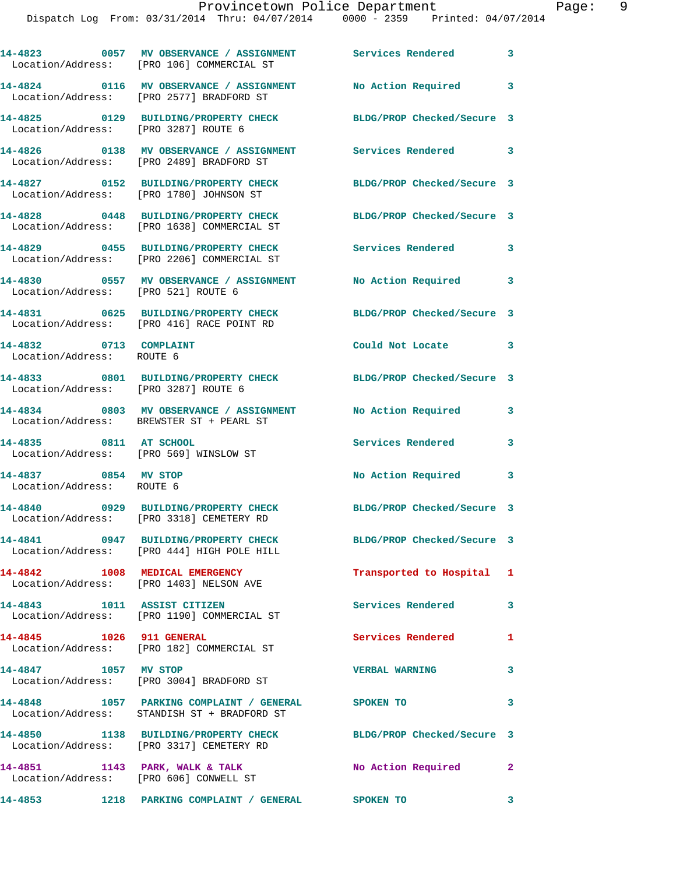|                                                                  | 14-4823 0057 MV OBSERVANCE / ASSIGNMENT Services Rendered 3<br>Location/Address: [PRO 106] COMMERCIAL ST    |                            |                            |
|------------------------------------------------------------------|-------------------------------------------------------------------------------------------------------------|----------------------------|----------------------------|
|                                                                  | 14-4824 0116 MV OBSERVANCE / ASSIGNMENT<br>Location/Address: [PRO 2577] BRADFORD ST                         | No Action Required 3       |                            |
|                                                                  | 14-4825 0129 BUILDING/PROPERTY CHECK<br>Location/Address: [PRO 3287] ROUTE 6                                | BLDG/PROP Checked/Secure 3 |                            |
|                                                                  | 14-4826 0138 MV OBSERVANCE / ASSIGNMENT<br>Location/Address: [PRO 2489] BRADFORD ST                         | Services Rendered 3        |                            |
|                                                                  | 14-4827 0152 BUILDING/PROPERTY CHECK<br>Location/Address: [PRO 1780] JOHNSON ST                             | BLDG/PROP Checked/Secure 3 |                            |
|                                                                  | 14-4828 0448 BUILDING/PROPERTY CHECK<br>Location/Address: [PRO 1638] COMMERCIAL ST                          | BLDG/PROP Checked/Secure 3 |                            |
|                                                                  | 14-4829 0455 BUILDING/PROPERTY CHECK<br>Location/Address: [PRO 2206] COMMERCIAL ST                          | Services Rendered          | 3                          |
| Location/Address: [PRO 521] ROUTE 6                              | 14-4830 0557 MV OBSERVANCE / ASSIGNMENT                                                                     | No Action Required         | $\overline{\phantom{a}}$ 3 |
|                                                                  | 14-4831 0625 BUILDING/PROPERTY CHECK<br>Location/Address: [PRO 416] RACE POINT RD                           | BLDG/PROP Checked/Secure 3 |                            |
| 14-4832 0713 COMPLAINT<br>Location/Address: ROUTE 6              |                                                                                                             | Could Not Locate 3         |                            |
| Location/Address: [PRO 3287] ROUTE 6                             | 14-4833 0801 BUILDING/PROPERTY CHECK BLDG/PROP Checked/Secure 3                                             |                            |                            |
|                                                                  | 14-4834 0803 MV OBSERVANCE / ASSIGNMENT<br>Location/Address: BREWSTER ST + PEARL ST                         | No Action Required         | 3                          |
| 14-4835 0811 AT SCHOOL<br>Location/Address: [PRO 569] WINSLOW ST |                                                                                                             | Services Rendered          | 3                          |
| 14-4837 0854 MV STOP<br>Location/Address: ROUTE 6                |                                                                                                             | No Action Required         | 3                          |
|                                                                  | 14-4840 0929 BUILDING/PROPERTY CHECK<br>Location/Address: [PRO 3318] CEMETERY RD                            | BLDG/PROP Checked/Secure 3 |                            |
|                                                                  | 14-4841 0947 BUILDING/PROPERTY CHECK<br>Location/Address: [PRO 444] HIGH POLE HILL                          | BLDG/PROP Checked/Secure 3 |                            |
| 14-4842 1008 MEDICAL EMERGENCY                                   | Location/Address: [PRO 1403] NELSON AVE                                                                     | Transported to Hospital 1  |                            |
|                                                                  | 14-4843 1011 ASSIST CITIZEN<br>Location/Address: [PRO 1190] COMMERCIAL ST                                   | Services Rendered          | 3                          |
| 14-4845    1026    911    GENERAL                                | Location/Address: [PRO 182] COMMERCIAL ST                                                                   | <b>Services Rendered</b> 1 |                            |
| 14-4847 1057 MV STOP                                             | Location/Address: [PRO 3004] BRADFORD ST                                                                    | <b>VERBAL WARNING</b>      | 3                          |
|                                                                  | 14-4848 1057 PARKING COMPLAINT / GENERAL SPOKEN TO<br>Location/Address: STANDISH ST + BRADFORD ST           |                            | 3                          |
|                                                                  | 14-4850 1138 BUILDING/PROPERTY CHECK BLDG/PROP Checked/Secure 3<br>Location/Address: [PRO 3317] CEMETERY RD |                            |                            |
|                                                                  | 14-4851 1143 PARK, WALK & TALK<br>Location/Address: [PRO 606] CONWELL ST                                    | No Action Required 2       |                            |
|                                                                  | 14-4853 1218 PARKING COMPLAINT / GENERAL SPOKEN TO                                                          |                            | 3                          |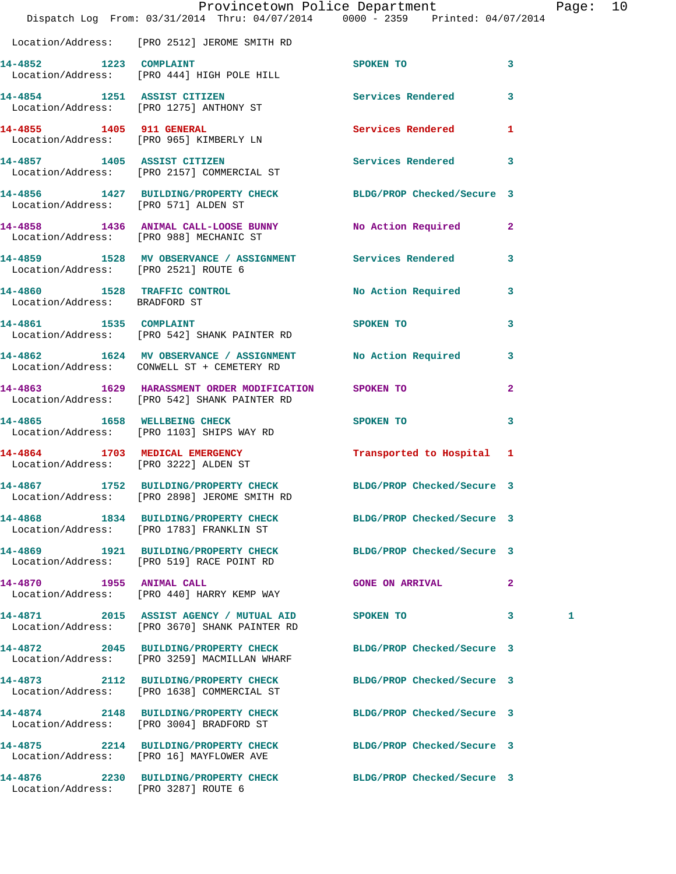|                                       | Dispatch Log From: 03/31/2014 Thru: 04/07/2014 0000 - 2359 Printed: 04/07/2014                                | Provincetown Police Department |                         | Page: 10 |  |
|---------------------------------------|---------------------------------------------------------------------------------------------------------------|--------------------------------|-------------------------|----------|--|
|                                       | Location/Address: [PRO 2512] JEROME SMITH RD                                                                  |                                |                         |          |  |
| 14-4852 1223 COMPLAINT                | Location/Address: [PRO 444] HIGH POLE HILL                                                                    | SPOKEN TO<br>$\sim$ 3          |                         |          |  |
|                                       | 14-4854 1251 ASSIST CITIZEN<br>Location/Address: [PRO 1275] ANTHONY ST                                        | Services Rendered 3            |                         |          |  |
| 14-4855 1405 911 GENERAL              | Location/Address: [PRO 965] KIMBERLY LN                                                                       | Services Rendered 1            |                         |          |  |
|                                       | 14-4857 1405 ASSIST CITIZEN<br>Location/Address: [PRO 2157] COMMERCIAL ST                                     | Services Rendered 3            |                         |          |  |
| Location/Address: [PRO 571] ALDEN ST  | 14-4856 1427 BUILDING/PROPERTY CHECK BLDG/PROP Checked/Secure 3                                               |                                |                         |          |  |
|                                       | 14-4858 1436 ANIMAL CALL-LOOSE BUNNY No Action Required 2<br>Location/Address: [PRO 988] MECHANIC ST          |                                |                         |          |  |
| Location/Address: [PRO 2521] ROUTE 6  | 14-4859 1528 MV OBSERVANCE / ASSIGNMENT Services Rendered                                                     |                                | 3                       |          |  |
| Location/Address: BRADFORD ST         | 14-4860 1528 TRAFFIC CONTROL No Action Required 3                                                             |                                |                         |          |  |
|                                       | 14-4861 1535 COMPLAINT<br>Location/Address: [PRO 542] SHANK PAINTER RD                                        | SPOKEN TO                      | $\overline{\mathbf{3}}$ |          |  |
|                                       | 14-4862 1624 MV OBSERVANCE / ASSIGNMENT No Action Required 3<br>Location/Address: CONWELL ST + CEMETERY RD    |                                |                         |          |  |
|                                       | 14-4863 1629 HARASSMENT ORDER MODIFICATION SPOKEN TO<br>Location/Address: [PRO 542] SHANK PAINTER RD          |                                | $\mathbf{2}$            |          |  |
|                                       | 14-4865 1658 WELLBEING CHECK<br>Location/Address: [PRO 1103] SHIPS WAY RD                                     | SPOKEN TO                      | 3                       |          |  |
| Location/Address: [PRO 3222] ALDEN ST | 14-4864 1703 MEDICAL EMERGENCY                                                                                | Transported to Hospital 1      |                         |          |  |
| 14-4867                               | 1752 BUILDING/PROPERTY CHECK BLDG/PROP Checked/Secure 3<br>Location/Address: [PRO 2898] JEROME SMITH RD       |                                |                         |          |  |
|                                       | 14-4868 1834 BUILDING/PROPERTY CHECK BLDG/PROP Checked/Secure 3<br>Location/Address: [PRO 1783] FRANKLIN ST   |                                |                         |          |  |
|                                       | 14-4869 1921 BUILDING/PROPERTY CHECK<br>Location/Address: [PRO 519] RACE POINT RD                             | BLDG/PROP Checked/Secure 3     |                         |          |  |
|                                       | 14-4870 1955 ANIMAL CALL<br>Location/Address: [PRO 440] HARRY KEMP WAY                                        | <b>GONE ON ARRIVAL</b>         | 2                       |          |  |
|                                       | 14-4871 2015 ASSIST AGENCY / MUTUAL AID<br>Location/Address: [PRO 3670] SHANK PAINTER RD                      | <b>SPOKEN TO</b>               | $\mathbf{3}$            | 1        |  |
|                                       | 14-4872 2045 BUILDING/PROPERTY CHECK<br>Location/Address: [PRO 3259] MACMILLAN WHARF                          | BLDG/PROP Checked/Secure 3     |                         |          |  |
|                                       | 14-4873 2112 BUILDING/PROPERTY CHECK BLDG/PROP Checked/Secure 3<br>Location/Address: [PRO 1638] COMMERCIAL ST |                                |                         |          |  |
|                                       | 14-4874 2148 BUILDING/PROPERTY CHECK<br>Location/Address: [PRO 3004] BRADFORD ST                              | BLDG/PROP Checked/Secure 3     |                         |          |  |
|                                       | 14-4875 2214 BUILDING/PROPERTY CHECK BLDG/PROP Checked/Secure 3<br>Location/Address: [PRO 16] MAYFLOWER AVE   |                                |                         |          |  |
| Location/Address: [PRO 3287] ROUTE 6  | 14-4876 2230 BUILDING/PROPERTY CHECK BLDG/PROP Checked/Secure 3                                               |                                |                         |          |  |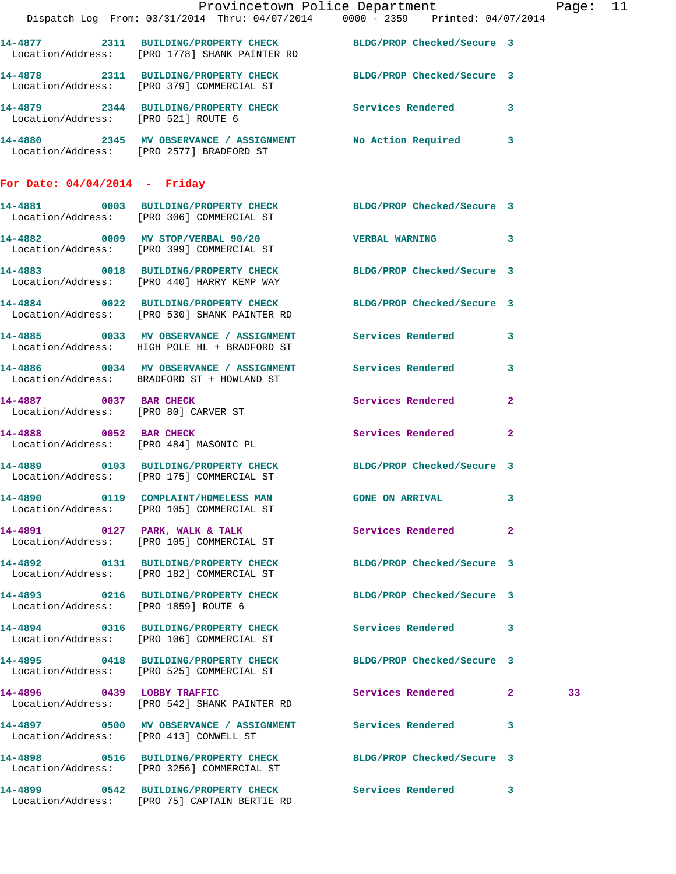|                                        |                                                                                                                  | Provincetown Police Department Page: 11 |              |    |  |
|----------------------------------------|------------------------------------------------------------------------------------------------------------------|-----------------------------------------|--------------|----|--|
|                                        | Dispatch Log From: 03/31/2014 Thru: 04/07/2014 0000 - 2359 Printed: 04/07/2014                                   |                                         |              |    |  |
|                                        | 14-4877 2311 BUILDING/PROPERTY CHECK BLDG/PROP Checked/Secure 3<br>Location/Address: [PRO 1778] SHANK PAINTER RD |                                         |              |    |  |
|                                        | 14-4878 2311 BUILDING/PROPERTY CHECK BLDG/PROP Checked/Secure 3<br>Location/Address: [PRO 379] COMMERCIAL ST     |                                         |              |    |  |
| Location/Address: [PRO 521] ROUTE 6    | 14-4879 2344 BUILDING/PROPERTY CHECK Services Rendered 3                                                         |                                         |              |    |  |
|                                        | 14-4880 2345 MV OBSERVANCE / ASSIGNMENT No Action Required 3<br>Location/Address: [PRO 2577] BRADFORD ST         |                                         |              |    |  |
| For Date: $04/04/2014$ - Friday        |                                                                                                                  |                                         |              |    |  |
|                                        | 14-4881 0003 BUILDING/PROPERTY CHECK BLDG/PROP Checked/Secure 3<br>Location/Address: [PRO 306] COMMERCIAL ST     |                                         |              |    |  |
|                                        | 14-4882 0009 MV STOP/VERBAL 90/20 VERBAL WARNING 3<br>Location/Address: [PRO 399] COMMERCIAL ST                  |                                         |              |    |  |
|                                        | 14-4883 0018 BUILDING/PROPERTY CHECK BLDG/PROP Checked/Secure 3<br>Location/Address: [PRO 440] HARRY KEMP WAY    |                                         |              |    |  |
|                                        | 14-4884 0022 BUILDING/PROPERTY CHECK BLDG/PROP Checked/Secure 3<br>Location/Address: [PRO 530] SHANK PAINTER RD  |                                         |              |    |  |
|                                        | 14-4885 0033 MV OBSERVANCE / ASSIGNMENT Services Rendered 3<br>Location/Address: HIGH POLE HL + BRADFORD ST      |                                         |              |    |  |
|                                        | 14-4886 0034 MV OBSERVANCE / ASSIGNMENT Services Rendered 3<br>Location/Address: BRADFORD ST + HOWLAND ST        |                                         |              |    |  |
|                                        | 14-4887 0037 BAR CHECK<br>Location/Address: [PRO 80] CARVER ST                                                   | Services Rendered                       | $\mathbf{2}$ |    |  |
|                                        | 14-4888 0052 BAR CHECK<br>Location/Address: [PRO 484] MASONIC PL                                                 | Services Rendered 2                     |              |    |  |
|                                        | 14-4889 0103 BUILDING/PROPERTY CHECK BLDG/PROP Checked/Secure 3<br>Location/Address: [PRO 175] COMMERCIAL ST     |                                         |              |    |  |
|                                        | 14-4890 0119 COMPLAINT/HOMELESS MAN<br>Location/Address: [PRO 105] COMMERCIAL ST                                 | <b>GONE ON ARRIVAL</b>                  | 3            |    |  |
|                                        | Location/Address: [PRO 105] COMMERCIAL ST                                                                        |                                         |              |    |  |
|                                        | 14-4892 0131 BUILDING/PROPERTY CHECK BLDG/PROP Checked/Secure 3<br>Location/Address: [PRO 182] COMMERCIAL ST     |                                         |              |    |  |
| Location/Address: [PRO 1859] ROUTE 6   | 14-4893 0216 BUILDING/PROPERTY CHECK BLDG/PROP Checked/Secure 3                                                  |                                         |              |    |  |
|                                        | 14-4894 0316 BUILDING/PROPERTY CHECK Services Rendered 3<br>Location/Address: [PRO 106] COMMERCIAL ST            |                                         |              |    |  |
|                                        | 14-4895 0418 BUILDING/PROPERTY CHECK BLDG/PROP Checked/Secure 3<br>Location/Address: [PRO 525] COMMERCIAL ST     |                                         |              |    |  |
|                                        | 14-4896 0439 LOBBY TRAFFIC<br>Location/Address: [PRO 542] SHANK PAINTER RD                                       | Services Rendered 2                     |              | 33 |  |
| Location/Address: [PRO 413] CONWELL ST | 14-4897 0500 MV OBSERVANCE / ASSIGNMENT Services Rendered 3                                                      |                                         |              |    |  |
|                                        | 14-4898 0516 BUILDING/PROPERTY CHECK BLDG/PROP Checked/Secure 3<br>Location/Address: [PRO 3256] COMMERCIAL ST    |                                         |              |    |  |
|                                        | 14-4899 0542 BUILDING/PROPERTY CHECK Services Rendered 3<br>Location/Address: [PRO 75] CAPTAIN BERTIE RD         |                                         |              |    |  |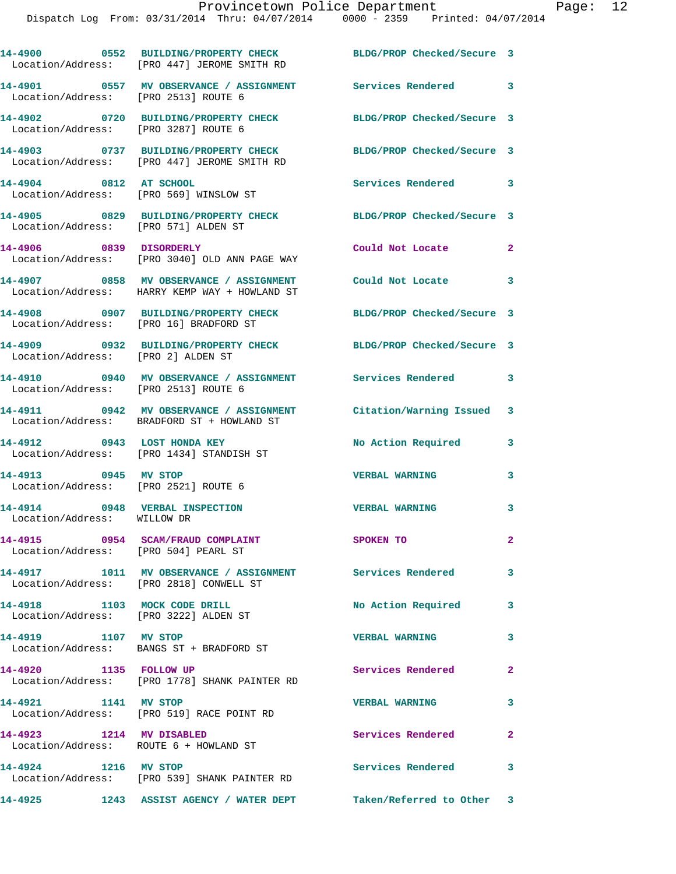|                                                                           | 14-4900 0552 BUILDING/PROPERTY CHECK<br>Location/Address: [PRO 447] JEROME SMITH RD                       | BLDG/PROP Checked/Secure 3 |                         |
|---------------------------------------------------------------------------|-----------------------------------------------------------------------------------------------------------|----------------------------|-------------------------|
|                                                                           | 14-4901 0557 MV OBSERVANCE / ASSIGNMENT Services Rendered 3<br>Location/Address: [PRO 2513] ROUTE 6       |                            |                         |
| Location/Address: [PRO 3287] ROUTE 6                                      | 14-4902 0720 BUILDING/PROPERTY CHECK                                                                      | BLDG/PROP Checked/Secure 3 |                         |
|                                                                           | 14-4903 0737 BUILDING/PROPERTY CHECK<br>Location/Address: [PRO 447] JEROME SMITH RD                       | BLDG/PROP Checked/Secure 3 |                         |
| 14-4904 0812 AT SCHOOL                                                    | Location/Address: [PRO 569] WINSLOW ST                                                                    | Services Rendered 3        |                         |
| Location/Address: [PRO 571] ALDEN ST                                      | 14-4905 0829 BUILDING/PROPERTY CHECK BLDG/PROP Checked/Secure 3                                           |                            |                         |
| 14-4906 0839 DISORDERLY                                                   | Location/Address: [PRO 3040] OLD ANN PAGE WAY                                                             | Could Not Locate 2         |                         |
|                                                                           | 14-4907 0858 MV OBSERVANCE / ASSIGNMENT Could Not Locate<br>Location/Address: HARRY KEMP WAY + HOWLAND ST |                            | 3                       |
| Location/Address: [PRO 16] BRADFORD ST                                    | 14-4908 0907 BUILDING/PROPERTY CHECK BLDG/PROP Checked/Secure 3                                           |                            |                         |
| Location/Address: [PRO 2] ALDEN ST                                        | 14-4909 0932 BUILDING/PROPERTY CHECK                                                                      | BLDG/PROP Checked/Secure 3 |                         |
| Location/Address: [PRO 2513] ROUTE 6                                      | 14-4910 0940 MV OBSERVANCE / ASSIGNMENT Services Rendered 3                                               |                            |                         |
|                                                                           | 14-4911 0942 MV OBSERVANCE / ASSIGNMENT<br>Location/Address: BRADFORD ST + HOWLAND ST                     | Citation/Warning Issued 3  |                         |
| 14-4912 0943 LOST HONDA KEY                                               | Location/Address: [PRO 1434] STANDISH ST                                                                  | No Action Required         | 3                       |
| 14-4913 0945 MV STOP<br>Location/Address: [PRO 2521] ROUTE 6              |                                                                                                           | <b>VERBAL WARNING</b>      | 3                       |
| 14-4914 0948 VERBAL INSPECTION<br>Location/Address: WILLOW DR             |                                                                                                           | <b>VERBAL WARNING</b>      | 3                       |
| 14-4915 0954 SCAM/FRAUD COMPLAINT<br>Location/Address: [PRO 504] PEARL ST |                                                                                                           | SPOKEN TO                  | $\mathbf{2}^-$          |
|                                                                           | 14-4917 1011 MV OBSERVANCE / ASSIGNMENT Services Rendered 3<br>Location/Address: [PRO 2818] CONWELL ST    |                            |                         |
| 14-4918 1103 MOCK CODE DRILL<br>Location/Address: [PRO 3222] ALDEN ST     |                                                                                                           | No Action Required         | 3                       |
| 14-4919 1107 MV STOP                                                      | Location/Address: BANGS ST + BRADFORD ST                                                                  | <b>VERBAL WARNING</b>      | $\mathbf{3}$            |
| 14-4920 1135 FOLLOW UP                                                    | Location/Address: [PRO 1778] SHANK PAINTER RD                                                             | Services Rendered          | 2                       |
| 14-4921 1141 MV STOP                                                      | Location/Address: [PRO 519] RACE POINT RD                                                                 | <b>VERBAL WARNING</b>      | $\overline{\mathbf{3}}$ |
| 14-4923 1214 MV DISABLED                                                  | Location/Address: ROUTE 6 + HOWLAND ST                                                                    | Services Rendered          | $\overline{\mathbf{2}}$ |
| 14-4924 1216 MV STOP                                                      | Location/Address: [PRO 539] SHANK PAINTER RD                                                              | Services Rendered 3        |                         |
|                                                                           | 14-4925 1243 ASSIST AGENCY / WATER DEPT Taken/Referred to Other 3                                         |                            |                         |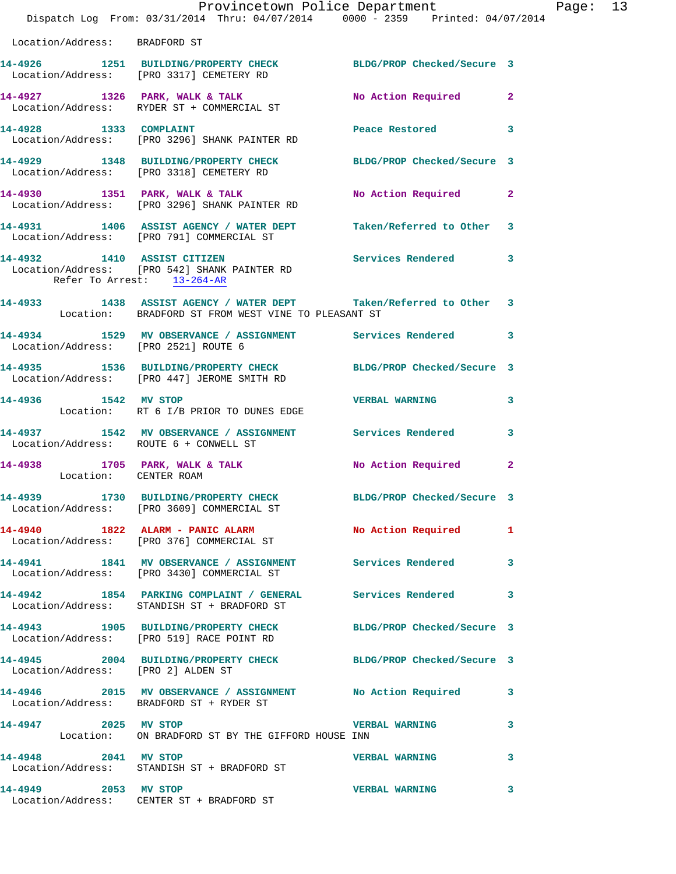|                                      | Provincetown Police Department<br>Dispatch Log From: 03/31/2014 Thru: 04/07/2014 0000 - 2359 Printed: 04/07/2014         |                       |              |
|--------------------------------------|--------------------------------------------------------------------------------------------------------------------------|-----------------------|--------------|
| Location/Address: BRADFORD ST        |                                                                                                                          |                       |              |
|                                      | 14-4926 1251 BUILDING/PROPERTY CHECK BLDG/PROP Checked/Secure 3<br>Location/Address: [PRO 3317] CEMETERY RD              |                       |              |
|                                      | 14-4927 1326 PARK, WALK & TALK<br>Location/Address: RYDER ST + COMMERCIAL ST                                             | No Action Required    | $\mathbf{2}$ |
| 14-4928 1333 COMPLAINT               | Location/Address: [PRO 3296] SHANK PAINTER RD                                                                            | Peace Restored        | 3            |
|                                      | 14-4929 1348 BUILDING/PROPERTY CHECK BLDG/PROP Checked/Secure 3<br>Location/Address: [PRO 3318] CEMETERY RD              |                       |              |
|                                      | 14-4930 1351 PARK, WALK & TALK (NO Action Required No Action / Address: [PRO 3296] SHANK PAINTER RD                      |                       | $\mathbf{2}$ |
|                                      | 14-4931 1406 ASSIST AGENCY / WATER DEPT Taken/Referred to Other<br>Location/Address: [PRO 791] COMMERCIAL ST             |                       | 3            |
| Refer To Arrest: 13-264-AR           | 14-4932 1410 ASSIST CITIZEN<br>Location/Address: [PRO 542] SHANK PAINTER RD                                              | Services Rendered     | 3            |
|                                      | 14-4933 1438 ASSIST AGENCY / WATER DEPT Taken/Referred to Other 3<br>Location: BRADFORD ST FROM WEST VINE TO PLEASANT ST |                       |              |
| Location/Address: [PRO 2521] ROUTE 6 | 14-4934 1529 MV OBSERVANCE / ASSIGNMENT Services Rendered                                                                |                       | 3            |
|                                      | 14-4935 1536 BUILDING/PROPERTY CHECK BLDG/PROP Checked/Secure 3<br>Location/Address: [PRO 447] JEROME SMITH RD           |                       |              |
|                                      | 14-4936 1542 MV STOP<br>Location: RT 6 I/B PRIOR TO DUNES EDGE                                                           | <b>VERBAL WARNING</b> | 3            |
|                                      | 14-4937 1542 MV OBSERVANCE / ASSIGNMENT Services Rendered<br>Location/Address: ROUTE 6 + CONWELL ST                      |                       | 3            |
| Location: CENTER ROAM                | 14-4938 1705 PARK, WALK & TALK NO Action Required                                                                        |                       | $\mathbf{2}$ |
|                                      | 14-4939 1730 BUILDING/PROPERTY CHECK BLDG/PROP Checked/Secure 3<br>Location/Address: [PRO 3609] COMMERCIAL ST            |                       |              |
|                                      | 14-4940 1822 ALARM - PANIC ALARM<br>Location/Address: [PRO 376] COMMERCIAL ST                                            | No Action Required    | 1            |
|                                      | 14-4941 1841 MV OBSERVANCE / ASSIGNMENT Services Rendered<br>Location/Address: [PRO 3430] COMMERCIAL ST                  |                       | 3            |
|                                      | 14-4942 1854 PARKING COMPLAINT / GENERAL Services Rendered<br>Location/Address: STANDISH ST + BRADFORD ST                |                       | 3            |
|                                      | 14-4943 1905 BUILDING/PROPERTY CHECK BLDG/PROP Checked/Secure 3<br>Location/Address: [PRO 519] RACE POINT RD             |                       |              |
| Location/Address: [PRO 2] ALDEN ST   | 14-4945 2004 BUILDING/PROPERTY CHECK BLDG/PROP Checked/Secure 3                                                          |                       |              |
|                                      | 14-4946 2015 MV OBSERVANCE / ASSIGNMENT No Action Required<br>Location/Address: BRADFORD ST + RYDER ST                   |                       | 3            |
| 14-4947 2025 MV STOP                 | Location: ON BRADFORD ST BY THE GIFFORD HOUSE INN                                                                        | <b>VERBAL WARNING</b> | 3            |
| 14-4948 2041 MV STOP                 | Location/Address: STANDISH ST + BRADFORD ST                                                                              | <b>VERBAL WARNING</b> | 3            |
| 14-4949 2053 MV STOP                 | Location/Address: CENTER ST + BRADFORD ST                                                                                | <b>VERBAL WARNING</b> | 3            |

Page:  $13$ <br> $4$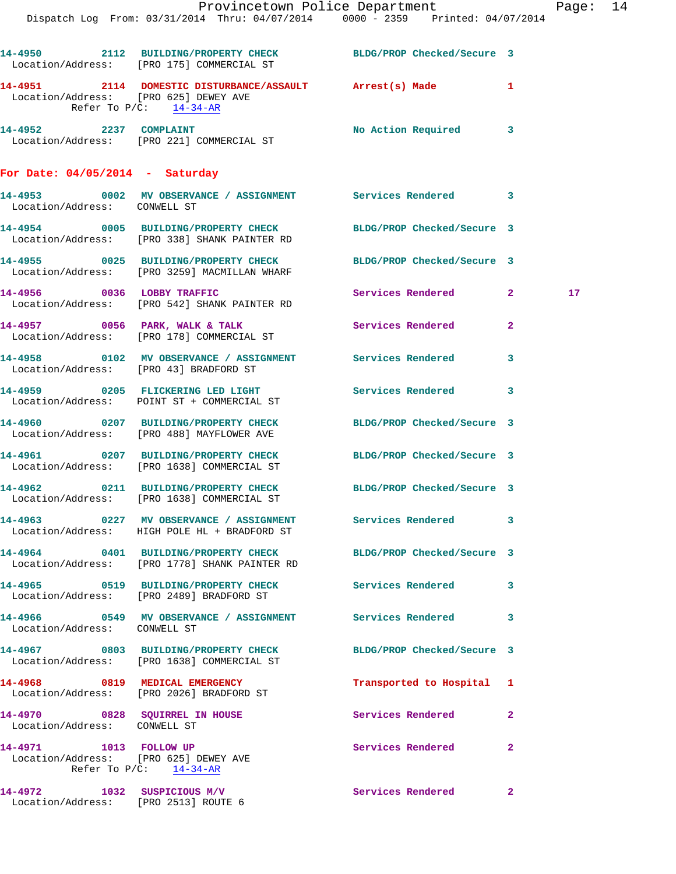|                                                                     | Dispatch Log From: 03/31/2014 Thru: 04/07/2014 0000 - 2359 Printed: 04/07/2014                               | Provincetown Police Department |              | Page: | 14 |
|---------------------------------------------------------------------|--------------------------------------------------------------------------------------------------------------|--------------------------------|--------------|-------|----|
|                                                                     | 14-4950 2112 BUILDING/PROPERTY CHECK BLDG/PROP Checked/Secure 3<br>Location/Address: [PRO 175] COMMERCIAL ST |                                |              |       |    |
| Location/Address: [PRO 625] DEWEY AVE                               | 14-4951 2114 DOMESTIC DISTURBANCE/ASSAULT Arrest(s) Made<br>Refer To $P/C$ : 14-34-AR                        |                                | $\mathbf{1}$ |       |    |
|                                                                     | 14-4952 2237 COMPLAINT<br>Location/Address: [PRO 221] COMMERCIAL ST                                          | No Action Required 3           |              |       |    |
| For Date: $04/05/2014$ - Saturday                                   |                                                                                                              |                                |              |       |    |
| Location/Address: CONWELL ST                                        | 14-4953 0002 MV OBSERVANCE / ASSIGNMENT Services Rendered                                                    |                                | 3            |       |    |
|                                                                     | 14-4954 0005 BUILDING/PROPERTY CHECK<br>Location/Address: [PRO 338] SHANK PAINTER RD                         | BLDG/PROP Checked/Secure 3     |              |       |    |
|                                                                     | 14-4955 0025 BUILDING/PROPERTY CHECK<br>Location/Address: [PRO 3259] MACMILLAN WHARF                         | BLDG/PROP Checked/Secure 3     |              |       |    |
|                                                                     | 14-4956 0036 LOBBY TRAFFIC<br>Location/Address: [PRO 542] SHANK PAINTER RD                                   | Services Rendered 2            |              | 17    |    |
|                                                                     | 14-4957 0056 PARK, WALK & TALK<br>Location/Address: [PRO 178] COMMERCIAL ST                                  | Services Rendered              | $\mathbf{2}$ |       |    |
| Location/Address: [PRO 43] BRADFORD ST                              | 14-4958 6102 MV OBSERVANCE / ASSIGNMENT Services Rendered                                                    |                                | 3            |       |    |
|                                                                     | 14-4959 0205 FLICKERING LED LIGHT<br>Location/Address: POINT ST + COMMERCIAL ST                              | Services Rendered              | 3            |       |    |
|                                                                     | 14-4960 0207 BUILDING/PROPERTY CHECK<br>Location/Address: [PRO 488] MAYFLOWER AVE                            | BLDG/PROP Checked/Secure 3     |              |       |    |
|                                                                     | 14-4961 0207 BUILDING/PROPERTY CHECK<br>Location/Address: [PRO 1638] COMMERCIAL ST                           | BLDG/PROP Checked/Secure 3     |              |       |    |
| Location/Address:                                                   | 14-4962 0211 BUILDING/PROPERTY CHECK BLDG/PROP Checked/Secure 3<br>[PRO 1638] COMMERCIAL ST                  |                                |              |       |    |
|                                                                     | 14-4963 0227 MV OBSERVANCE / ASSIGNMENT Services Rendered<br>Location/Address: HIGH POLE HL + BRADFORD ST    |                                | 3            |       |    |
|                                                                     | 14-4964 0401 BUILDING/PROPERTY CHECK<br>Location/Address: [PRO 1778] SHANK PAINTER RD                        | BLDG/PROP Checked/Secure 3     |              |       |    |
|                                                                     | 14-4965 0519 BUILDING/PROPERTY CHECK<br>Location/Address: [PRO 2489] BRADFORD ST                             | Services Rendered              | 3            |       |    |
| Location/Address: CONWELL ST                                        | 14-4966  0549 MV OBSERVANCE / ASSIGNMENT Services Rendered                                                   |                                | 3            |       |    |
|                                                                     | 14-4967 0803 BUILDING/PROPERTY CHECK<br>Location/Address: [PRO 1638] COMMERCIAL ST                           | BLDG/PROP Checked/Secure 3     |              |       |    |
|                                                                     | 14-4968 0819 MEDICAL EMERGENCY<br>Location/Address: [PRO 2026] BRADFORD ST                                   | Transported to Hospital 1      |              |       |    |
| Location/Address: CONWELL ST                                        | 14-4970 0828 SQUIRREL IN HOUSE                                                                               | Services Rendered              | $\mathbf{2}$ |       |    |
| 14-4971 1013 FOLLOW UP<br>Location/Address: [PRO 625] DEWEY AVE     | Refer To $P/C$ : 14-34-AR                                                                                    | Services Rendered              | $\mathbf{2}$ |       |    |
| 14-4972 1032 SUSPICIOUS M/V<br>Location/Address: [PRO 2513] ROUTE 6 |                                                                                                              | Services Rendered              | $\mathbf{2}$ |       |    |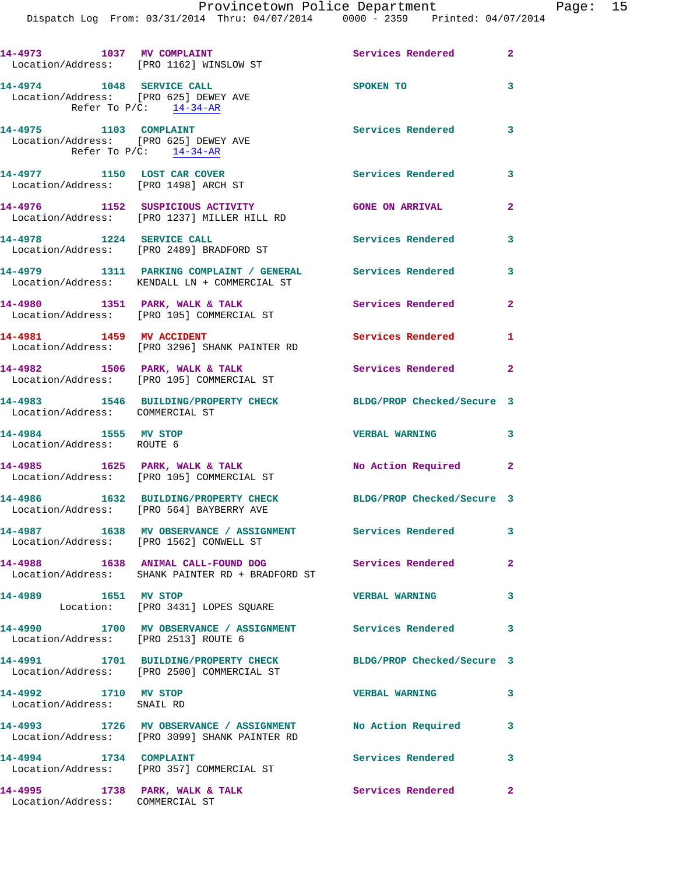|                                                                                                | 14-4973 1037 MV COMPLAINT<br>Location/Address: [PRO 1162] WINSLOW ST                                        | <b>Services Rendered</b> 2 |                |
|------------------------------------------------------------------------------------------------|-------------------------------------------------------------------------------------------------------------|----------------------------|----------------|
| 14-4974 1048 SERVICE CALL<br>Location/Address: [PRO 625] DEWEY AVE                             | Refer To $P/C$ : 14-34-AR                                                                                   | SPOKEN TO                  | 3              |
| 14-4975 1103 COMPLAINT<br>Location/Address: [PRO 625] DEWEY AVE<br>Refer To $P/C$ : $14-34-AR$ |                                                                                                             | Services Rendered 3        |                |
| 14-4977 1150 LOST CAR COVER                                                                    | Location/Address: [PRO 1498] ARCH ST                                                                        | <b>Services Rendered</b> 3 |                |
|                                                                                                | 14-4976 1152 SUSPICIOUS ACTIVITY<br>Location/Address: [PRO 1237] MILLER HILL RD                             | <b>GONE ON ARRIVAL</b>     | $\mathbf{2}$   |
| 14-4978 1224 SERVICE CALL                                                                      | Location/Address: [PRO 2489] BRADFORD ST                                                                    | Services Rendered          | 3              |
|                                                                                                | 14-4979 1311 PARKING COMPLAINT / GENERAL Services Rendered<br>Location/Address: KENDALL LN + COMMERCIAL ST  |                            | 3              |
|                                                                                                | 14-4980 1351 PARK, WALK & TALK<br>Location/Address: [PRO 105] COMMERCIAL ST                                 | Services Rendered          | $\mathbf{2}$   |
|                                                                                                | 14-4981 1459 MV ACCIDENT<br>Location/Address: [PRO 3296] SHANK PAINTER RD                                   | Services Rendered 1        |                |
| $14-4982$ 1506 PARK, WALK & TALK                                                               | Location/Address: [PRO 105] COMMERCIAL ST                                                                   | Services Rendered 2        |                |
| Location/Address: COMMERCIAL ST                                                                | 14-4983 1546 BUILDING/PROPERTY CHECK BLDG/PROP Checked/Secure 3                                             |                            |                |
| 14-4984 1555 MV STOP<br>Location/Address: ROUTE 6                                              |                                                                                                             | <b>VERBAL WARNING</b>      | 3              |
|                                                                                                | 14-4985 1625 PARK, WALK & TALK<br>Location/Address: [PRO 105] COMMERCIAL ST                                 | No Action Required 2       |                |
|                                                                                                | 14-4986 1632 BUILDING/PROPERTY CHECK<br>Location/Address: [PRO 564] BAYBERRY AVE                            | BLDG/PROP Checked/Secure 3 |                |
|                                                                                                | 14-4987 1638 MV OBSERVANCE / ASSIGNMENT Services Rendered<br>Location/Address: [PRO 1562] CONWELL ST        |                            | 3              |
|                                                                                                | 14-4988 1638 ANIMAL CALL-FOUND DOG<br>Location/Address: SHANK PAINTER RD + BRADFORD ST                      | <b>Services Rendered</b>   | $\overline{2}$ |
| 14-4989 1651 MV STOP                                                                           | Location: [PRO 3431] LOPES SQUARE                                                                           | <b>VERBAL WARNING</b>      | 3              |
| Location/Address: [PRO 2513] ROUTE 6                                                           | 14-4990 1700 MV OBSERVANCE / ASSIGNMENT Services Rendered 3                                                 |                            |                |
|                                                                                                | 14-4991 1701 BUILDING/PROPERTY CHECK<br>Location/Address: [PRO 2500] COMMERCIAL ST                          | BLDG/PROP Checked/Secure 3 |                |
| 14-4992 1710 MV STOP<br>Location/Address: SNAIL RD                                             |                                                                                                             | <b>VERBAL WARNING</b>      | 3              |
|                                                                                                | 14-4993 1726 MV OBSERVANCE / ASSIGNMENT No Action Required<br>Location/Address: [PRO 3099] SHANK PAINTER RD |                            | 3              |
| 14-4994 1734 COMPLAINT                                                                         | Location/Address: [PRO 357] COMMERCIAL ST                                                                   | <b>Services Rendered</b>   | 3              |
| 14-4995 1738 PARK, WALK & TALK<br>Location/Address: COMMERCIAL ST                              |                                                                                                             | <b>Services Rendered</b>   | $\overline{2}$ |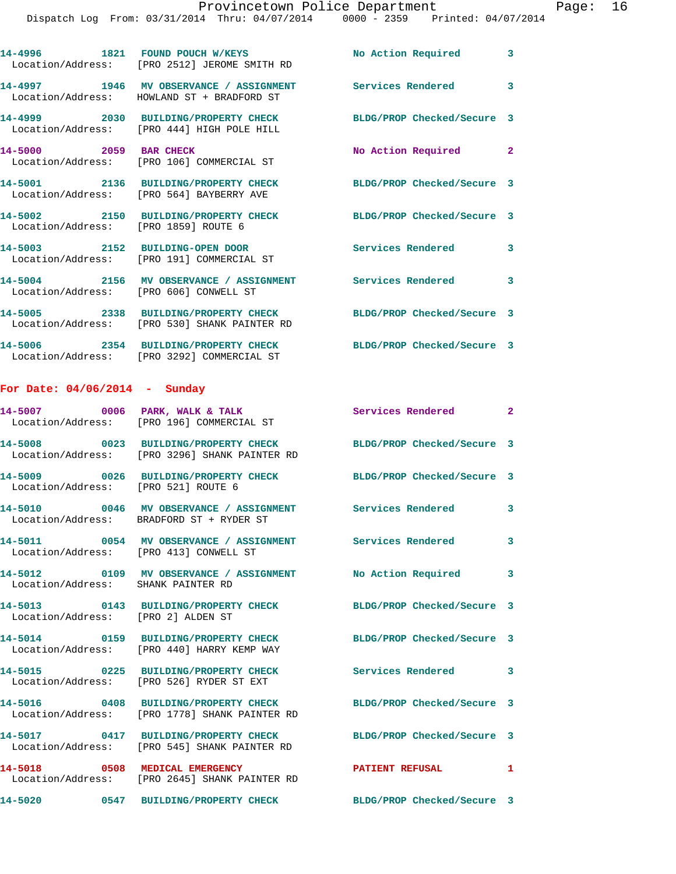|                                               | 14-4996 1821 FOUND POUCH W/KEYS<br>Location/Address: [PRO 2512] JEROME SMITH RD                         | No Action Required 3       |                         |
|-----------------------------------------------|---------------------------------------------------------------------------------------------------------|----------------------------|-------------------------|
|                                               | 14-4997 1946 MV OBSERVANCE / ASSIGNMENT<br>Location/Address: HOWLAND ST + BRADFORD ST                   | Services Rendered          | $\overline{\mathbf{3}}$ |
|                                               | 14-4999 2030 BUILDING/PROPERTY CHECK<br>Location/Address: [PRO 444] HIGH POLE HILL                      | BLDG/PROP Checked/Secure 3 |                         |
|                                               | 14-5000 2059 BAR CHECK<br>Location/Address: [PRO 106] COMMERCIAL ST                                     | No Action Required 2       |                         |
|                                               | 14-5001 2136 BUILDING/PROPERTY CHECK<br>Location/Address: [PRO 564] BAYBERRY AVE                        | BLDG/PROP Checked/Secure 3 |                         |
| Location/Address: [PRO 1859] ROUTE 6          | 14-5002 2150 BUILDING/PROPERTY CHECK                                                                    | BLDG/PROP Checked/Secure 3 |                         |
|                                               | 14-5003 2152 BUILDING-OPEN DOOR<br>Location/Address: [PRO 191] COMMERCIAL ST                            | Services Rendered 3        |                         |
| Location/Address: [PRO 606] CONWELL ST        | 14-5004 2156 MV OBSERVANCE / ASSIGNMENT Services Rendered 3                                             |                            |                         |
|                                               | 14-5005 2338 BUILDING/PROPERTY CHECK<br>Location/Address: [PRO 530] SHANK PAINTER RD                    | BLDG/PROP Checked/Secure 3 |                         |
|                                               | 14-5006 2354 BUILDING/PROPERTY CHECK<br>Location/Address: [PRO 3292] COMMERCIAL ST                      | BLDG/PROP Checked/Secure 3 |                         |
| For Date: $04/06/2014$ - Sunday               |                                                                                                         |                            |                         |
|                                               | 14-5007 0006 PARK, WALK & TALK<br>Location/Address: [PRO 196] COMMERCIAL ST                             | Services Rendered 2        |                         |
|                                               | 14-5008 0023 BUILDING/PROPERTY CHECK<br>Location/Address: [PRO 3296] SHANK PAINTER RD                   | BLDG/PROP Checked/Secure 3 |                         |
| Location/Address: [PRO 521] ROUTE 6           | 14-5009 0026 BUILDING/PROPERTY CHECK BLDG/PROP Checked/Secure 3                                         |                            |                         |
|                                               | 14-5010 0046 MV OBSERVANCE / ASSIGNMENT Services Rendered 3<br>Location/Address: BRADFORD ST + RYDER ST |                            |                         |
| 14-5011                                       | 0054 MV OBSERVANCE / ASSIGNMENT<br>Location/Address: [PRO 413] CONWELL ST                               | Services Rendered          | 3                       |
| Location/Address:                             | 14-5012 0109 MV OBSERVANCE / ASSIGNMENT<br>SHANK PAINTER RD                                             | No Action Required         | 3                       |
| 14-5013<br>Location/Address: [PRO 2] ALDEN ST | 0143 BUILDING/PROPERTY CHECK                                                                            | BLDG/PROP Checked/Secure 3 |                         |

**14-5014 0159 BUILDING/PROPERTY CHECK BLDG/PROP Checked/Secure 3**  Location/Address: [PRO 440] HARRY KEMP WAY

**14-5015 0225 BUILDING/PROPERTY CHECK Services Rendered 3**  Location/Address: [PRO 526] RYDER ST EXT

**14-5016 0408 BUILDING/PROPERTY CHECK BLDG/PROP Checked/Secure 3**  Location/Address: [PRO 1778] SHANK PAINTER RD

**14-5017 0417 BUILDING/PROPERTY CHECK BLDG/PROP Checked/Secure 3**  Location/Address: [PRO 545] SHANK PAINTER RD

**14-5018 0508 MEDICAL EMERGENCY PATIENT REFUSAL 1**  Location/Address: [PRO 2645] SHANK PAINTER RD

**14-5020 0547 BUILDING/PROPERTY CHECK BLDG/PROP Checked/Secure 3**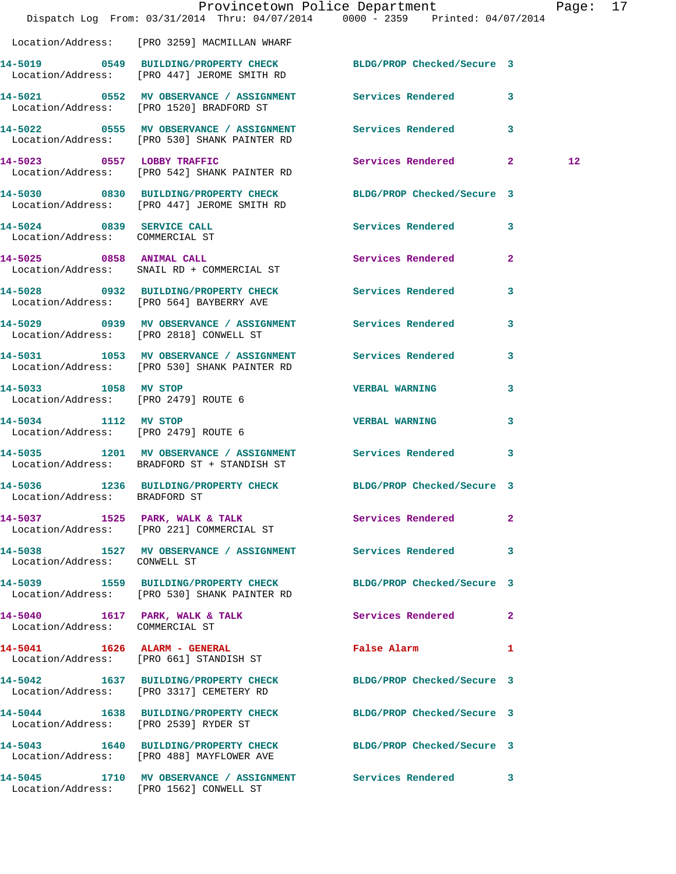|                                                                   | Dispatch Log From: 03/31/2014 Thru: 04/07/2014 0000 - 2359 Printed: 04/07/2014                                  | Provincetown Police Department              |                         | Page: 17          |  |
|-------------------------------------------------------------------|-----------------------------------------------------------------------------------------------------------------|---------------------------------------------|-------------------------|-------------------|--|
|                                                                   | Location/Address: [PRO 3259] MACMILLAN WHARF                                                                    |                                             |                         |                   |  |
|                                                                   | 14-5019 0549 BUILDING/PROPERTY CHECK BLDG/PROP Checked/Secure 3<br>Location/Address: [PRO 447] JEROME SMITH RD  |                                             |                         |                   |  |
|                                                                   | 14-5021 0552 MV OBSERVANCE / ASSIGNMENT Services Rendered 3<br>Location/Address: [PRO 1520] BRADFORD ST         |                                             |                         |                   |  |
|                                                                   | 14-5022 0555 MV OBSERVANCE / ASSIGNMENT Services Rendered 3<br>Location/Address: [PRO 530] SHANK PAINTER RD     |                                             |                         |                   |  |
|                                                                   | 14-5023 0557 LOBBY TRAFFIC<br>Location/Address: [PRO 542] SHANK PAINTER RD                                      | Services Rendered 2                         |                         | $12 \overline{ }$ |  |
|                                                                   | 14-5030 0830 BUILDING/PROPERTY CHECK BLDG/PROP Checked/Secure 3<br>Location/Address: [PRO 447] JEROME SMITH RD  |                                             |                         |                   |  |
| 14-5024 0839 SERVICE CALL<br>Location/Address: COMMERCIAL ST      |                                                                                                                 | Services Rendered 3                         |                         |                   |  |
|                                                                   | 14-5025 0858 ANIMAL CALL<br>Location/Address: SNAIL RD + COMMERCIAL ST                                          | Services Rendered                           | $\mathbf{2}$            |                   |  |
|                                                                   | 14-5028 0932 BUILDING/PROPERTY CHECK Services Rendered<br>Location/Address: [PRO 564] BAYBERRY AVE              |                                             | $\overline{\mathbf{3}}$ |                   |  |
|                                                                   | 14-5029 0939 MV OBSERVANCE / ASSIGNMENT Services Rendered<br>Location/Address: [PRO 2818] CONWELL ST            |                                             | 3                       |                   |  |
|                                                                   | 14-5031 1053 MV OBSERVANCE / ASSIGNMENT Services Rendered 3<br>Location/Address: [PRO 530] SHANK PAINTER RD     |                                             |                         |                   |  |
| 14-5033 1058 MV STOP<br>Location/Address: [PRO 2479] ROUTE 6      |                                                                                                                 | <b>VERBAL WARNING</b>                       | 3                       |                   |  |
| 14-5034 1112 MV STOP<br>Location/Address: [PRO 2479] ROUTE 6      |                                                                                                                 | <b>VERBAL WARNING</b>                       | $\mathbf{3}$            |                   |  |
|                                                                   | 14-5035 1201 MV OBSERVANCE / ASSIGNMENT Services Rendered 3<br>Location/Address: BRADFORD ST + STANDISH ST      |                                             |                         |                   |  |
| Location/Address: BRADFORD ST                                     | 14-5036 1236 BUILDING/PROPERTY CHECK BLDG/PROP Checked/Secure 3                                                 |                                             |                         |                   |  |
|                                                                   | 14-5037 1525 PARK, WALK & TALK 1999 Services Rendered<br>Location/Address: [PRO 221] COMMERCIAL ST              |                                             | $\mathbf{2}$            |                   |  |
| Location/Address: CONWELL ST                                      | 14-5038 1527 MV OBSERVANCE / ASSIGNMENT Services Rendered                                                       |                                             | 3                       |                   |  |
|                                                                   | 14-5039 1559 BUILDING/PROPERTY CHECK BLDG/PROP Checked/Secure 3<br>Location/Address: [PRO 530] SHANK PAINTER RD |                                             |                         |                   |  |
| 14-5040 1617 PARK, WALK & TALK<br>Location/Address: COMMERCIAL ST |                                                                                                                 | <b>Services Rendered</b> 2                  |                         |                   |  |
|                                                                   | 14-5041 1626 ALARM - GENERAL<br>Location/Address: [PRO 661] STANDISH ST                                         | False Alarm <b>Exercise Service Service</b> | $\mathbf{1}$            |                   |  |
|                                                                   | 14-5042 1637 BUILDING/PROPERTY CHECK BLDG/PROP Checked/Secure 3<br>Location/Address: [PRO 3317] CEMETERY RD     |                                             |                         |                   |  |
| Location/Address: [PRO 2539] RYDER ST                             | 14-5044 1638 BUILDING/PROPERTY CHECK BLDG/PROP Checked/Secure 3                                                 |                                             |                         |                   |  |
|                                                                   | 14-5043 1640 BUILDING/PROPERTY CHECK BLDG/PROP Checked/Secure 3<br>Location/Address: [PRO 488] MAYFLOWER AVE    |                                             |                         |                   |  |
|                                                                   | 14-5045 1710 MV OBSERVANCE / ASSIGNMENT Services Rendered 3<br>Location/Address: [PRO 1562] CONWELL ST          |                                             |                         |                   |  |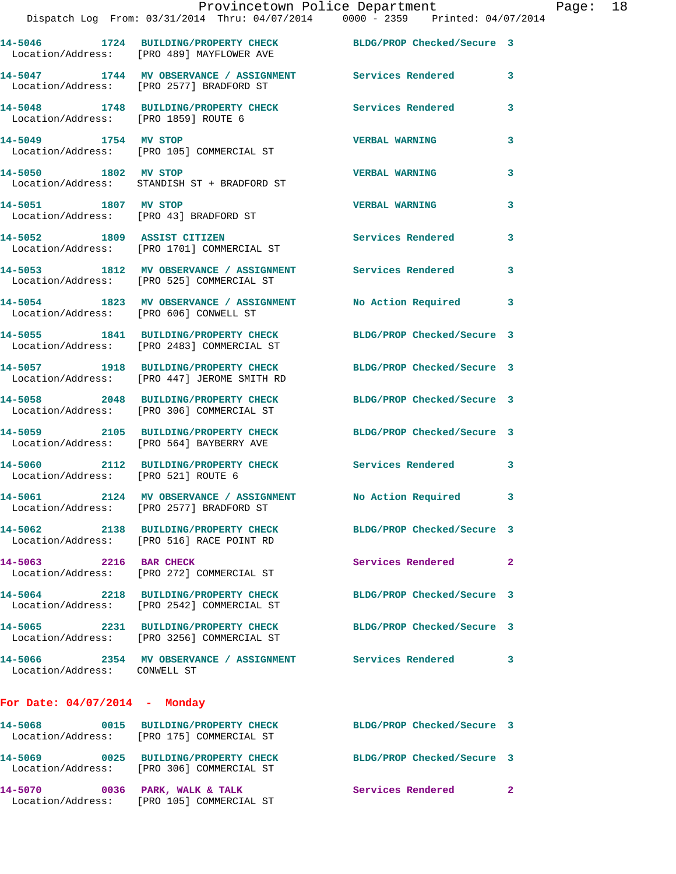|                                      | Provincetown Police Department<br>Dispatch Log From: 03/31/2014 Thru: 04/07/2014 0000 - 2359 Printed: 04/07/2014 |                            |   |
|--------------------------------------|------------------------------------------------------------------------------------------------------------------|----------------------------|---|
|                                      | 14-5046 1724 BUILDING/PROPERTY CHECK BLDG/PROP Checked/Secure 3<br>Location/Address: [PRO 489] MAYFLOWER AVE     |                            |   |
|                                      | 14-5047 1744 MV OBSERVANCE / ASSIGNMENT Services Rendered<br>Location/Address: [PRO 2577] BRADFORD ST            |                            | 3 |
| Location/Address: [PRO 1859] ROUTE 6 | 14-5048 1748 BUILDING/PROPERTY CHECK Services Rendered                                                           |                            | 3 |
| 14-5049 1754 MV STOP                 | Location/Address: [PRO 105] COMMERCIAL ST                                                                        | <b>VERBAL WARNING</b>      | 3 |
|                                      | 14-5050 1802 MV STOP<br>Location/Address: STANDISH ST + BRADFORD ST                                              | <b>VERBAL WARNING</b>      | 3 |
| 14-5051 1807 MV STOP                 | Location/Address: [PRO 43] BRADFORD ST                                                                           | <b>VERBAL WARNING</b>      | 3 |
|                                      | 14-5052 1809 ASSIST CITIZEN<br>Location/Address: [PRO 1701] COMMERCIAL ST                                        | Services Rendered          | 3 |
|                                      | 14-5053 1812 MV OBSERVANCE / ASSIGNMENT Services Rendered<br>  Location/Address: [PRO 525] COMMERCIAL ST         |                            | 3 |
|                                      | 14-5054 1823 MV OBSERVANCE / ASSIGNMENT No Action Required<br>Location/Address: [PRO 606] CONWELL ST             |                            | 3 |
|                                      | 14-5055 1841 BUILDING/PROPERTY CHECK BLDG/PROP Checked/Secure 3<br>Location/Address: [PRO 2483] COMMERCIAL ST    |                            |   |
|                                      | 14-5057 1918 BUILDING/PROPERTY CHECK BLDG/PROP Checked/Secure 3<br>Location/Address: [PRO 447] JEROME SMITH RD   |                            |   |
|                                      | 14-5058 2048 BUILDING/PROPERTY CHECK BLDG/PROP Checked/Secure 3<br>Location/Address: [PRO 306] COMMERCIAL ST     |                            |   |
|                                      | 14-5059 2105 BUILDING/PROPERTY CHECK BLDG/PROP Checked/Secure 3<br>Location/Address: [PRO 564] BAYBERRY AVE      |                            |   |
| Location/Address: [PRO 521] ROUTE 6  | 14-5060 2112 BUILDING/PROPERTY CHECK Services Rendered                                                           |                            | 3 |
| 14-5061                              | 2124 MV OBSERVANCE / ASSIGNMENT<br>Location/Address: [PRO 2577] BRADFORD ST                                      | No Action Required         | 3 |
|                                      | 14-5062 2138 BUILDING/PROPERTY CHECK<br>Location/Address: [PRO 516] RACE POINT RD                                | BLDG/PROP Checked/Secure 3 |   |
| 14-5063 2216 BAR CHECK               | Location/Address: [PRO 272] COMMERCIAL ST                                                                        | Services Rendered          | 2 |
|                                      | 14-5064 2218 BUILDING/PROPERTY CHECK<br>Location/Address: [PRO 2542] COMMERCIAL ST                               | BLDG/PROP Checked/Secure 3 |   |
|                                      | 14-5065 2231 BUILDING/PROPERTY CHECK<br>Location/Address: [PRO 3256] COMMERCIAL ST                               | BLDG/PROP Checked/Secure 3 |   |
| Location/Address: CONWELL ST         | 14-5066 2354 MV OBSERVANCE / ASSIGNMENT                                                                          | <b>Services Rendered</b>   | 3 |
| For Date: $04/07/2014$ - Monday      |                                                                                                                  |                            |   |
|                                      | 14-5068 0015 BUILDING/PROPERTY CHECK<br>Location/Address: [PRO 175] COMMERCIAL ST                                | BLDG/PROP Checked/Secure 3 |   |
|                                      | 14-5069 0025 BUILDING/PROPERTY CHECK<br>Location/Address: [PRO 306] COMMERCIAL ST                                | BLDG/PROP Checked/Secure 3 |   |

**14-5070 0036 PARK, WALK & TALK Services Rendered 2** 

Location/Address: [PRO 105] COMMERCIAL ST

Page: 18